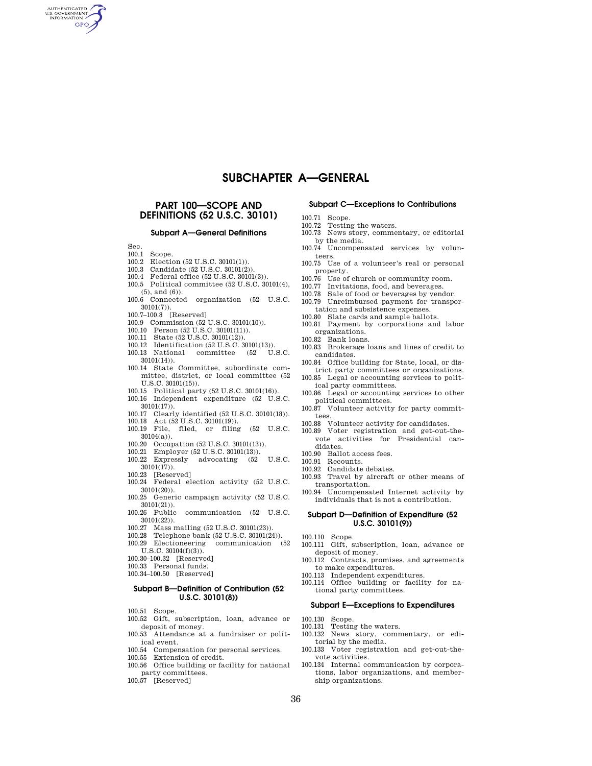# **SUBCHAPTER A—GENERAL**

# **PART 100—SCOPE AND DEFINITIONS (52 U.S.C. 30101)**

## **Subpart A—General Definitions**

 $\frac{\text{Sec.}}{100.1}$ 

AUTHENTICATED GPO

- Scope.
- 100.2 Election (52 U.S.C. 30101(1)).
- 100.3 Candidate (52 U.S.C. 30101(2)).
- 100.4 Federal office (52 U.S.C. 30101(3)). 100.5 Political committee (52 U.S.C. 30101(4), (5), and (6)).
- 100.6 Connected organization (52 U.S.C. 30101(7)).
- 100.7–100.8 [Reserved]
- 100.9 Commission (52 U.S.C. 30101(10)). 100.10 Person (52 U.S.C. 30101(11)).
- 
- 
- 100.11 State (52 U.S.C. 30101(12)). 100.12 Identification (52 U.S.C. 30101(13)).
- 100.13 National committee (52 U.S.C. 30101(14)).
- 100.14 State Committee, subordinate committee, district, or local committee (52 U.S.C. 30101(15)).
- 100.15 Political party (52 U.S.C. 30101(16)).
- 100.16 Independent expenditure (52 U.S.C.  $30101(17)$ .
- 100.17 Clearly identified (52 U.S.C. 30101(18)).
- 100.18 Act (52 U.S.C. 30101(19)).
- 100.19 File, filed, or filing (52 U.S.C. 30104(a)).
- 100.20 Occupation (52 U.S.C. 30101(13)).
- 100.21 Employer (52 U.S.C. 30101(13)).
- 100.22 Expressly advocating (52 U.S.C.  $30101(\overline{17})$ ).
- 100.23 [Reserved] 100.24 Federal election activity (52 U.S.C. 30101(20)).
- 100.25 Generic campaign activity (52 U.S.C. 30101(21)).
- 100.26 Public communication (52 U.S.C. 30101(22)).
- 100.27 Mass mailing (52 U.S.C. 30101(23)).
- 100.28 Telephone bank (52 U.S.C. 30101(24)).
- 100.29 Electioneering communication (52 U.S.C. 30104(f)(3)).
- 100.30–100.32 [Reserved]
- 100.33 Personal funds.
- 100.34–100.50 [Reserved]

## **Subpart B—Definition of Contribution (52 U.S.C. 30101(8))**

- 100.51 Scope.
- 100.52 Gift, subscription, loan, advance or deposit of money.
- 100.53 Attendance at a fundraiser or political event.
- 100.54 Compensation for personal services.
- 100.55 Extension of credit.
- 100.56 Office building or facility for national party committees.
- 100.57 [Reserved]

### **Subpart C—Exceptions to Contributions**

- 100.71 Scope.
- 100.72 Testing the waters.
- 100.73 News story, commentary, or editorial by the media.
- 100.74 Uncompensated services by volunteers.
- 100.75 Use of a volunteer's real or personal property.
- 100.76 Use of church or community room.
- 100.77 Invitations, food, and beverages.
- 100.78 Sale of food or beverages by vendor.
- 100.79 Unreimbursed payment for transportation and subsistence expenses.
- 100.80 Slate cards and sample ballots.
- 100.81 Payment by corporations and labor organizations.
- 100.82 Bank loans.
- 100.83 Brokerage loans and lines of credit to candidates.
- 100.84 Office building for State, local, or district party committees or organizations.
- 100.85 Legal or accounting services to political party committees.
- 100.86 Legal or accounting services to other political committees.
- 100.87 Volunteer activity for party committees.
- 100.88 Volunteer activity for candidates.
- 100.89 Voter registration and get-out-thevote activities for Presidential candidates.
- 100.90 Ballot access fees.
- 100.91 Recounts.
- 100.92 Candidate debates.
- 100.93 Travel by aircraft or other means of transportation.
- 100.94 Uncompensated Internet activity by individuals that is not a contribution.

#### **Subpart D—Definition of Expenditure (52 U.S.C. 30101(9))**

- 100.110 Scope.
- 100.111 Gift, subscription, loan, advance or deposit of money.
- 100.112 Contracts, promises, and agreements to make expenditures.
- 100.113 Independent expenditures.
- 100.114 Office building or facility for national party committees.

#### **Subpart E—Exceptions to Expenditures**

- 100.130 Scope.
- 100.131 Testing the waters.
- 100.132 News story, commentary, or editorial by the media.
- 100.133 Voter registration and get-out-thevote activities.
- 100.134 Internal communication by corporations, labor organizations, and membership organizations.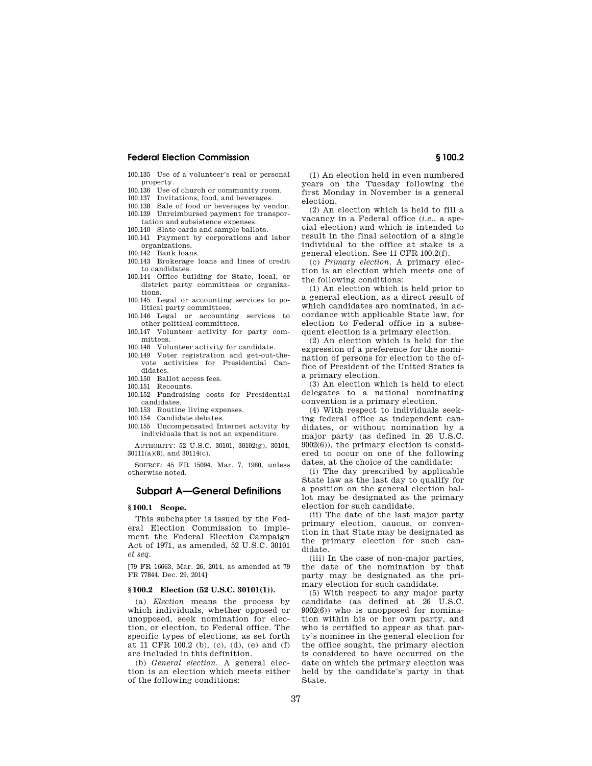- 100.135 Use of a volunteer's real or personal property.
- 100.136 Use of church or community room.
- 100.137 Invitations, food, and beverages.<br>100.138 Sale of food or beverages by year.
- Sale of food or beverages by vendor. 100.139 Unreimbursed payment for transpor-
- tation and subsistence expenses.
- 100.140 Slate cards and sample ballots.
- 100.141 Payment by corporations and labor organizations.
- 100.142 Bank loans.
- 100.143 Brokerage loans and lines of credit to candidates.
- 100.144 Office building for State, local, or district party committees or organizations.
- 100.145 Legal or accounting services to political party committees.
- 100.146 Legal or accounting services to other political committees.
- 100.147 Volunteer activity for party committees.
- 100.148 Volunteer activity for candidate.
- 100.149 Voter registration and get-out-thevote activities for Presidential Candidates.
- 100.150 Ballot access fees.
- 100.151 Recounts.
- 100.152 Fundraising costs for Presidential candidates.
- 100.153 Routine living expenses.
- 100.154 Candidate debates.
- 100.155 Uncompensated Internet activity by individuals that is not an expenditure.

AUTHORITY: 52 U.S.C. 30101, 30102(g), 30104, 30111(a)(8), and 30114(c).

SOURCE: 45 FR 15094, Mar. 7, 1980, unless otherwise noted.

## **Subpart A—General Definitions**

#### **§ 100.1 Scope.**

This subchapter is issued by the Federal Election Commission to implement the Federal Election Campaign Act of 1971, as amended, 52 U.S.C. 30101 *et seq.* 

[79 FR 16663, Mar. 26, 2014, as amended at 79 FR 77844, Dec. 29, 2014]

## **§ 100.2 Election (52 U.S.C. 30101(1)).**

(a) *Election* means the process by which individuals, whether opposed or unopposed, seek nomination for election, or election, to Federal office. The specific types of elections, as set forth at 11 CFR 100.2 (b), (c), (d), (e) and (f) are included in this definition.

(b) *General election.* A general election is an election which meets either of the following conditions:

(1) An election held in even numbered years on the Tuesday following the first Monday in November is a general election.

(2) An election which is held to fill a vacancy in a Federal office (*i.e.*, a special election) and which is intended to result in the final selection of a single individual to the office at stake is a general election. See 11 CFR 100.2(f).

(c) *Primary election.* A primary election is an election which meets one of the following conditions:

(1) An election which is held prior to a general election, as a direct result of which candidates are nominated, in accordance with applicable State law, for election to Federal office in a subsequent election is a primary election.

(2) An election which is held for the expression of a preference for the nomination of persons for election to the office of President of the United States is a primary election.

(3) An election which is held to elect delegates to a national nominating convention is a primary election.

(4) With respect to individuals seeking federal office as independent candidates, or without nomination by a major party (as defined in 26 U.S.C. 9002(6)), the primary election is considered to occur on one of the following dates, at the choice of the candidate:

(i) The day prescribed by applicable State law as the last day to qualify for a position on the general election ballot may be designated as the primary election for such candidate.

(ii) The date of the last major party primary election, caucus, or convention in that State may be designated as the primary election for such candidate.

(iii) In the case of non-major parties, the date of the nomination by that party may be designated as the primary election for such candidate.

(5) With respect to any major party candidate (as defined at 26 U.S.C.  $9002(6)$ ) who is unopposed for nomination within his or her own party, and who is certified to appear as that party's nominee in the general election for the office sought, the primary election is considered to have occurred on the date on which the primary election was held by the candidate's party in that State.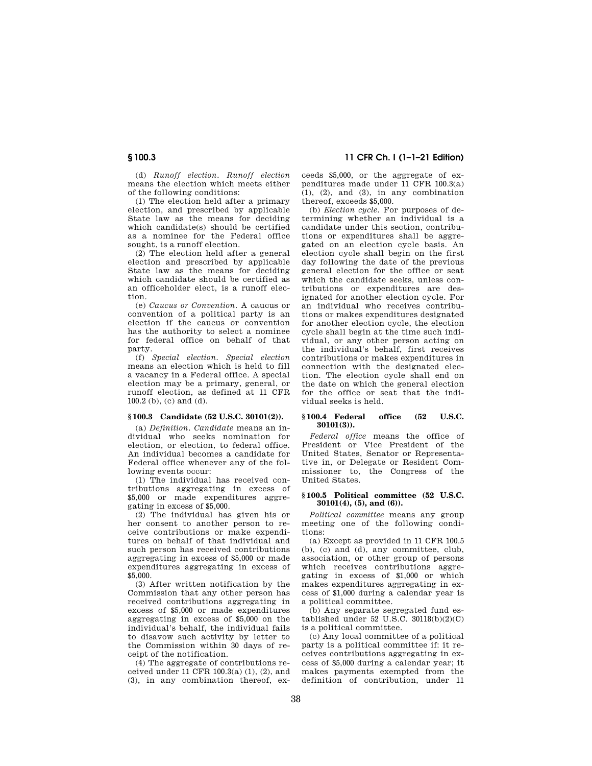(d) *Runoff election. Runoff election*  means the election which meets either of the following conditions:

(1) The election held after a primary election, and prescribed by applicable State law as the means for deciding which candidate(s) should be certified as a nominee for the Federal office sought, is a runoff election.

(2) The election held after a general election and prescribed by applicable State law as the means for deciding which candidate should be certified as an officeholder elect, is a runoff election.

(e) *Caucus or Convention.* A caucus or convention of a political party is an election if the caucus or convention has the authority to select a nominee for federal office on behalf of that party.

(f) *Special election. Special election*  means an election which is held to fill a vacancy in a Federal office. A special election may be a primary, general, or runoff election, as defined at 11 CFR 100.2 (b), (c) and (d).

## **§ 100.3 Candidate (52 U.S.C. 30101(2)).**

(a) *Definition. Candidate* means an individual who seeks nomination for election, or election, to federal office. An individual becomes a candidate for Federal office whenever any of the following events occur:

(1) The individual has received contributions aggregating in excess of \$5,000 or made expenditures aggregating in excess of \$5,000.

(2) The individual has given his or her consent to another person to receive contributions or make expenditures on behalf of that individual and such person has received contributions aggregating in excess of \$5,000 or made expenditures aggregating in excess of \$5,000.

(3) After written notification by the Commission that any other person has received contributions aggregating in excess of \$5,000 or made expenditures aggregating in excess of \$5,000 on the individual's behalf, the individual fails to disavow such activity by letter to the Commission within 30 days of receipt of the notification.

(4) The aggregate of contributions received under  $11$  CFR  $100.3(a)$   $(1)$ ,  $(2)$ , and (3), in any combination thereof, ex-

**§ 100.3 11 CFR Ch. I (1–1–21 Edition)** 

ceeds \$5,000, or the aggregate of expenditures made under 11 CFR 100.3(a)  $(1)$ ,  $(2)$ , and  $(3)$ , in any combination thereof, exceeds \$5,000.

(b) *Election cycle.* For purposes of determining whether an individual is a candidate under this section, contributions or expenditures shall be aggregated on an election cycle basis. An election cycle shall begin on the first day following the date of the previous general election for the office or seat which the candidate seeks, unless contributions or expenditures are designated for another election cycle. For an individual who receives contributions or makes expenditures designated for another election cycle, the election cycle shall begin at the time such individual, or any other person acting on the individual's behalf, first receives contributions or makes expenditures in connection with the designated election. The election cycle shall end on the date on which the general election for the office or seat that the individual seeks is held.

## **§ 100.4 Federal office (52 U.S.C. 30101(3)).**

*Federal office* means the office of President or Vice President of the United States, Senator or Representative in, or Delegate or Resident Commissioner to, the Congress of the United States.

#### **§ 100.5 Political committee (52 U.S.C. 30101(4), (5), and (6)).**

*Political committee* means any group meeting one of the following conditions:

(a) Except as provided in 11 CFR 100.5 (b), (c) and (d), any committee, club, association, or other group of persons which receives contributions aggregating in excess of \$1,000 or which makes expenditures aggregating in excess of \$1,000 during a calendar year is a political committee.

(b) Any separate segregated fund established under 52 U.S.C.  $30118(b)(2)(C)$ is a political committee.

(c) Any local committee of a political party is a political committee if: it receives contributions aggregating in excess of \$5,000 during a calendar year; it makes payments exempted from the definition of contribution, under 11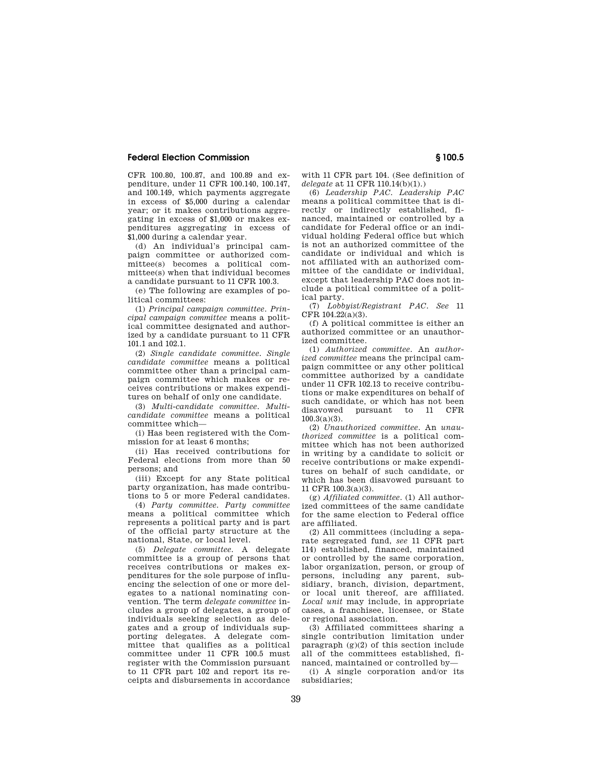CFR 100.80, 100.87, and 100.89 and expenditure, under 11 CFR 100.140, 100.147, and 100.149, which payments aggregate in excess of \$5,000 during a calendar year; or it makes contributions aggregating in excess of \$1,000 or makes expenditures aggregating in excess of \$1,000 during a calendar year.

(d) An individual's principal campaign committee or authorized committee(s) becomes a political committee(s) when that individual becomes a candidate pursuant to 11 CFR 100.3.

(e) The following are examples of political committees:

(1) *Principal campaign committee. Principal campaign committee* means a political committee designated and authorized by a candidate pursuant to 11 CFR 101.1 and 102.1.

(2) *Single candidate committee. Single candidate committee* means a political committee other than a principal campaign committee which makes or receives contributions or makes expenditures on behalf of only one candidate.

(3) *Multi-candidate committee. Multicandidate committee* means a political committee which—

(i) Has been registered with the Commission for at least 6 months;

(ii) Has received contributions for Federal elections from more than 50 persons; and

(iii) Except for any State political party organization, has made contributions to 5 or more Federal candidates.

(4) *Party committee. Party committee*  means a political committee which represents a political party and is part of the official party structure at the national, State, or local level.

(5) *Delegate committee.* A delegate committee is a group of persons that receives contributions or makes expenditures for the sole purpose of influencing the selection of one or more delegates to a national nominating convention. The term *delegate committee* includes a group of delegates, a group of individuals seeking selection as delegates and a group of individuals supporting delegates. A delegate committee that qualifies as a political committee under 11 CFR 100.5 must register with the Commission pursuant to 11 CFR part 102 and report its receipts and disbursements in accordance

with 11 CFR part 104. (See definition of *delegate* at 11 CFR 110.14(b)(1).)

(6) *Leadership PAC. Leadership PAC*  means a political committee that is directly or indirectly established, financed, maintained or controlled by a candidate for Federal office or an individual holding Federal office but which is not an authorized committee of the candidate or individual and which is not affiliated with an authorized committee of the candidate or individual, except that leadership PAC does not include a political committee of a political party.

(7) *Lobbyist/Registrant PAC. See* 11 CFR 104.22(a)(3).

(f) A political committee is either an authorized committee or an unauthorized committee.

(1) *Authorized committee.* An *authorized committee* means the principal campaign committee or any other political committee authorized by a candidate under 11 CFR 102.13 to receive contributions or make expenditures on behalf of such candidate, or which has not been disavowed pursuant to 11 CFR  $100.3(a)(3)$ .

(2) *Unauthorized committee.* An *unauthorized committee* is a political committee which has not been authorized in writing by a candidate to solicit or receive contributions or make expenditures on behalf of such candidate, or which has been disavowed pursuant to 11 CFR 100.3(a)(3).

(g) *Affiliated committee.* (1) All authorized committees of the same candidate for the same election to Federal office are affiliated.

(2) All committees (including a separate segregated fund, *see* 11 CFR part 114) established, financed, maintained or controlled by the same corporation, labor organization, person, or group of persons, including any parent, subsidiary, branch, division, department, or local unit thereof, are affiliated. *Local unit* may include, in appropriate cases, a franchisee, licensee, or State or regional association.

(3) Affiliated committees sharing a single contribution limitation under paragraph  $(g)(2)$  of this section include all of the committees established, financed, maintained or controlled by—

(i) A single corporation and/or its subsidiaries;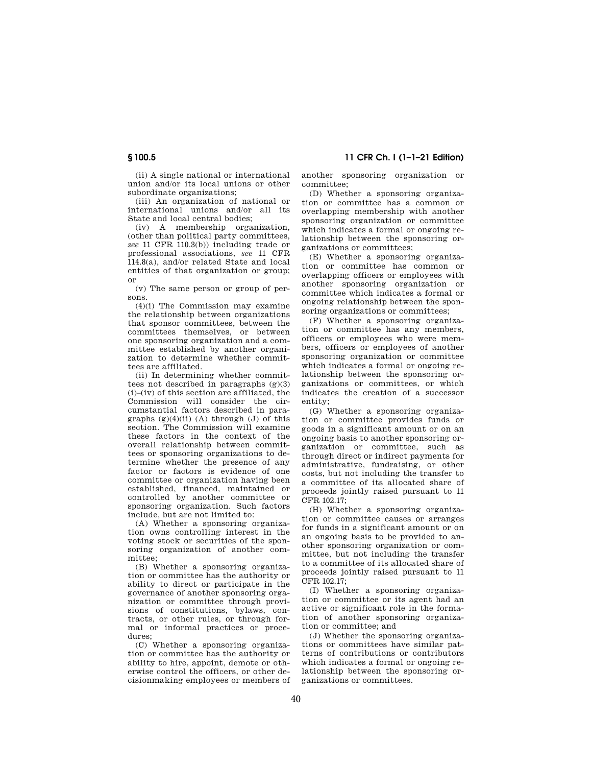(ii) A single national or international union and/or its local unions or other subordinate organizations;

(iii) An organization of national or international unions and/or all its State and local central bodies;

(iv) A membership organization, (other than political party committees, *see* 11 CFR 110.3(b)) including trade or professional associations, *see* 11 CFR 114.8(a), and/or related State and local entities of that organization or group; or

(v) The same person or group of persons.

(4)(i) The Commission may examine the relationship between organizations that sponsor committees, between the committees themselves, or between one sponsoring organization and a committee established by another organization to determine whether committees are affiliated.

(ii) In determining whether committees not described in paragraphs  $(g)(3)$ (i)–(iv) of this section are affiliated, the Commission will consider the circumstantial factors described in paragraphs  $(g)(4)(ii)$  (A) through (J) of this section. The Commission will examine these factors in the context of the overall relationship between committees or sponsoring organizations to determine whether the presence of any factor or factors is evidence of one committee or organization having been established, financed, maintained or controlled by another committee or sponsoring organization. Such factors include, but are not limited to:

(A) Whether a sponsoring organization owns controlling interest in the voting stock or securities of the sponsoring organization of another committee;

(B) Whether a sponsoring organization or committee has the authority or ability to direct or participate in the governance of another sponsoring organization or committee through provisions of constitutions, bylaws, contracts, or other rules, or through formal or informal practices or procedures;

(C) Whether a sponsoring organization or committee has the authority or ability to hire, appoint, demote or otherwise control the officers, or other decisionmaking employees or members of another sponsoring organization or committee;

(D) Whether a sponsoring organization or committee has a common or overlapping membership with another sponsoring organization or committee which indicates a formal or ongoing relationship between the sponsoring organizations or committees;

(E) Whether a sponsoring organization or committee has common or overlapping officers or employees with another sponsoring organization or committee which indicates a formal or ongoing relationship between the sponsoring organizations or committees;

(F) Whether a sponsoring organization or committee has any members, officers or employees who were members, officers or employees of another sponsoring organization or committee which indicates a formal or ongoing relationship between the sponsoring organizations or committees, or which indicates the creation of a successor entity;

(G) Whether a sponsoring organization or committee provides funds or goods in a significant amount or on an ongoing basis to another sponsoring organization or committee, such as through direct or indirect payments for administrative, fundraising, or other costs, but not including the transfer to a committee of its allocated share of proceeds jointly raised pursuant to 11 CFR 102.17;

(H) Whether a sponsoring organization or committee causes or arranges for funds in a significant amount or on an ongoing basis to be provided to another sponsoring organization or committee, but not including the transfer to a committee of its allocated share of proceeds jointly raised pursuant to 11 CFR 102.17;

(I) Whether a sponsoring organization or committee or its agent had an active or significant role in the formation of another sponsoring organization or committee; and

(J) Whether the sponsoring organizations or committees have similar patterns of contributions or contributors which indicates a formal or ongoing relationship between the sponsoring organizations or committees.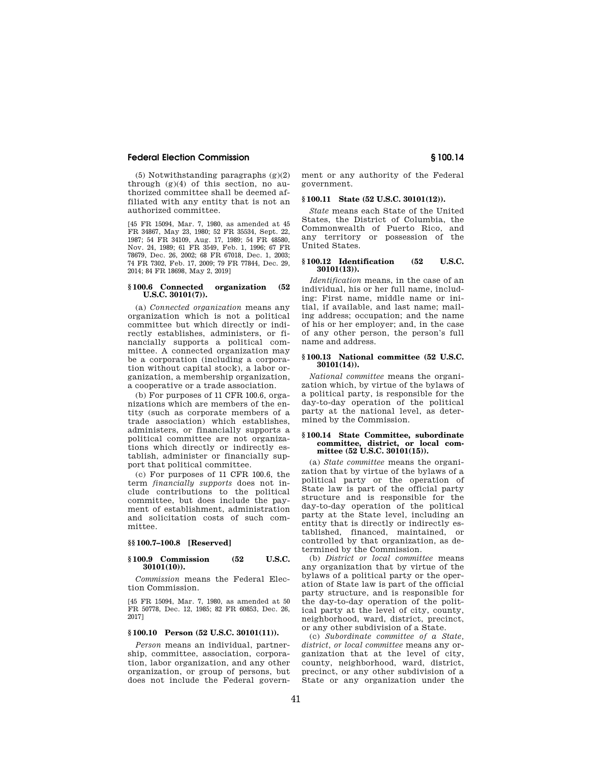(5) Notwithstanding paragraphs (g)(2) through  $(g)(4)$  of this section, no authorized committee shall be deemed affiliated with any entity that is not an authorized committee.

[45 FR 15094, Mar. 7, 1980, as amended at 45 FR 34867, May 23, 1980; 52 FR 35534, Sept. 22, 1987; 54 FR 34109, Aug. 17, 1989; 54 FR 48580, Nov. 24, 1989; 61 FR 3549, Feb. 1, 1996; 67 FR 78679, Dec. 26, 2002; 68 FR 67018, Dec. 1, 2003; 74 FR 7302, Feb. 17, 2009; 79 FR 77844, Dec. 29, 2014; 84 FR 18698, May 2, 2019]

#### **§ 100.6 Connected organization (52 U.S.C. 30101(7)).**

(a) *Connected organization* means any organization which is not a political committee but which directly or indirectly establishes, administers, or financially supports a political committee. A connected organization may be a corporation (including a corporation without capital stock), a labor organization, a membership organization, a cooperative or a trade association.

(b) For purposes of 11 CFR 100.6, organizations which are members of the entity (such as corporate members of a trade association) which establishes, administers, or financially supports a political committee are not organizations which directly or indirectly establish, administer or financially support that political committee.

(c) For purposes of 11 CFR 100.6, the term *financially supports* does not include contributions to the political committee, but does include the payment of establishment, administration and solicitation costs of such committee.

#### **§§ 100.7–100.8 [Reserved]**

#### **§ 100.9 Commission (52 U.S.C. 30101(10)).**

*Commission* means the Federal Election Commission.

[45 FR 15094, Mar. 7, 1980, as amended at 50 FR 50778, Dec. 12, 1985; 82 FR 60853, Dec. 26, 2017]

#### **§ 100.10 Person (52 U.S.C. 30101(11)).**

*Person* means an individual, partnership, committee, association, corporation, labor organization, and any other organization, or group of persons, but does not include the Federal government or any authority of the Federal government.

## **§ 100.11 State (52 U.S.C. 30101(12)).**

*State* means each State of the United States, the District of Columbia, the Commonwealth of Puerto Rico, and any territory or possession of the United States.

## **§ 100.12 Identification (52 U.S.C. 30101(13)).**

*Identification* means, in the case of an individual, his or her full name, including: First name, middle name or initial, if available, and last name; mailing address; occupation; and the name of his or her employer; and, in the case of any other person, the person's full name and address.

### **§ 100.13 National committee (52 U.S.C. 30101(14)).**

*National committee* means the organization which, by virtue of the bylaws of a political party, is responsible for the day-to-day operation of the political party at the national level, as determined by the Commission.

#### **§ 100.14 State Committee, subordinate committee, district, or local committee (52 U.S.C. 30101(15)).**

(a) *State committee* means the organization that by virtue of the bylaws of a political party or the operation of State law is part of the official party structure and is responsible for the day-to-day operation of the political party at the State level, including an entity that is directly or indirectly established, financed, maintained, or controlled by that organization, as determined by the Commission.

(b) *District or local committee* means any organization that by virtue of the bylaws of a political party or the operation of State law is part of the official party structure, and is responsible for the day-to-day operation of the political party at the level of city, county, neighborhood, ward, district, precinct, or any other subdivision of a State.

(c) *Subordinate committee of a State, district, or local committee* means any organization that at the level of city, county, neighborhood, ward, district, precinct, or any other subdivision of a State or any organization under the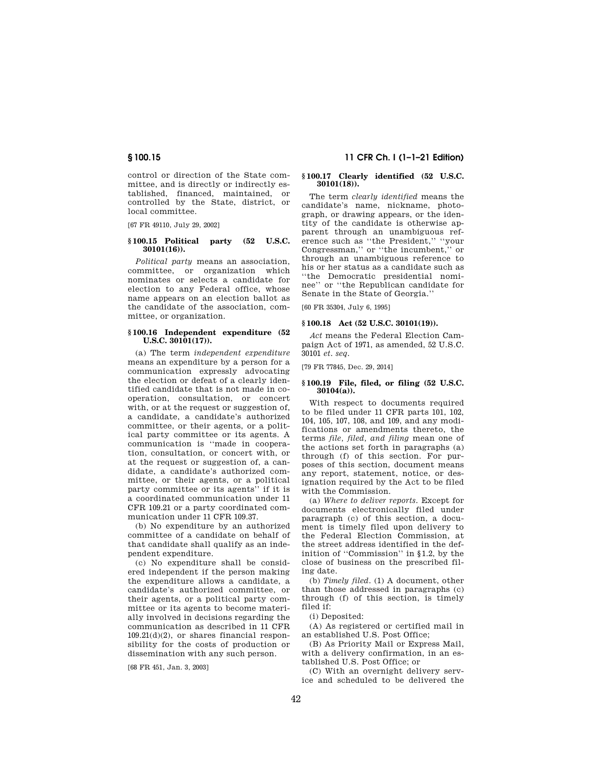control or direction of the State committee, and is directly or indirectly established, financed, maintained, or controlled by the State, district, or local committee.

[67 FR 49110, July 29, 2002]

## **§ 100.15 Political party (52 U.S.C. 30101(16)).**

*Political party* means an association, committee, or organization which nominates or selects a candidate for election to any Federal office, whose name appears on an election ballot as the candidate of the association, committee, or organization.

#### **§ 100.16 Independent expenditure (52 U.S.C. 30101(17)).**

(a) The term *independent expenditure*  means an expenditure by a person for a communication expressly advocating the election or defeat of a clearly identified candidate that is not made in cooperation, consultation, or concert with, or at the request or suggestion of, a candidate, a candidate's authorized committee, or their agents, or a political party committee or its agents. A communication is ''made in cooperation, consultation, or concert with, or at the request or suggestion of, a candidate, a candidate's authorized committee, or their agents, or a political party committee or its agents'' if it is a coordinated communication under 11 CFR 109.21 or a party coordinated communication under 11 CFR 109.37.

(b) No expenditure by an authorized committee of a candidate on behalf of that candidate shall qualify as an independent expenditure.

(c) No expenditure shall be considered independent if the person making the expenditure allows a candidate, a candidate's authorized committee, or their agents, or a political party committee or its agents to become materially involved in decisions regarding the communication as described in 11 CFR  $109.21(d)(2)$ , or shares financial responsibility for the costs of production or dissemination with any such person.

[68 FR 451, Jan. 3, 2003]

## **§ 100.15 11 CFR Ch. I (1–1–21 Edition)**

#### **§ 100.17 Clearly identified (52 U.S.C. 30101(18)).**

The term *clearly identified* means the candidate's name, nickname, photograph, or drawing appears, or the identity of the candidate is otherwise apparent through an unambiguous reference such as ''the President,'' ''your Congressman,'' or ''the incumbent,'' or through an unambiguous reference to his or her status as a candidate such as ''the Democratic presidential nominee'' or ''the Republican candidate for Senate in the State of Georgia.''

[60 FR 35304, July 6, 1995]

#### **§ 100.18 Act (52 U.S.C. 30101(19)).**

*Act* means the Federal Election Campaign Act of 1971, as amended, 52 U.S.C. 30101 *et. seq.* 

[79 FR 77845, Dec. 29, 2014]

#### **§ 100.19 File, filed, or filing (52 U.S.C. 30104(a)).**

With respect to documents required to be filed under 11 CFR parts 101, 102, 104, 105, 107, 108, and 109, and any modifications or amendments thereto, the terms *file, filed, and filing* mean one of the actions set forth in paragraphs (a) through (f) of this section. For purposes of this section, document means any report, statement, notice, or designation required by the Act to be filed with the Commission.

(a) *Where to deliver reports.* Except for documents electronically filed under paragraph (c) of this section, a document is timely filed upon delivery to the Federal Election Commission, at the street address identified in the definition of ''Commission'' in §1.2, by the close of business on the prescribed filing date.

(b) *Timely filed.* (1) A document, other than those addressed in paragraphs (c) through (f) of this section, is timely filed if:

(i) Deposited:

(A) As registered or certified mail in an established U.S. Post Office;

(B) As Priority Mail or Express Mail, with a delivery confirmation, in an established U.S. Post Office; or

(C) With an overnight delivery service and scheduled to be delivered the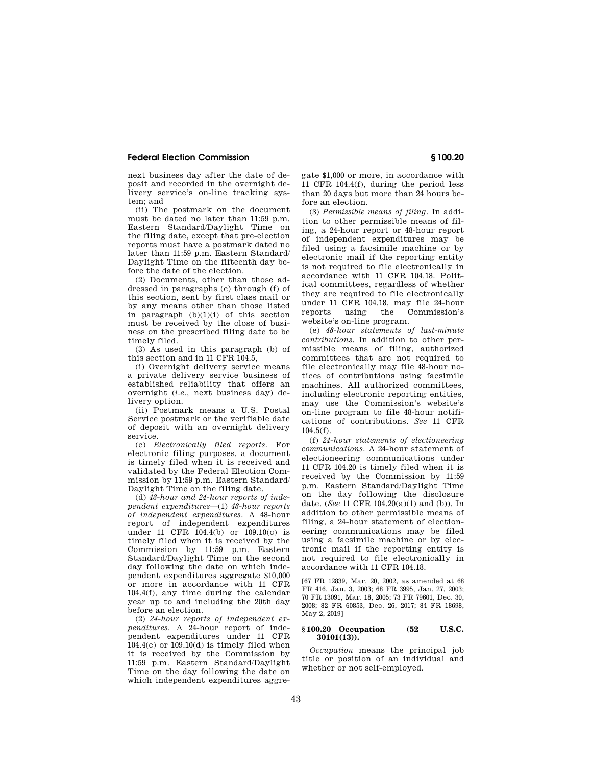next business day after the date of deposit and recorded in the overnight delivery service's on-line tracking system; and

(ii) The postmark on the document must be dated no later than 11:59 p.m. Eastern Standard/Daylight Time on the filing date, except that pre-election reports must have a postmark dated no later than 11:59 p.m. Eastern Standard/ Daylight Time on the fifteenth day before the date of the election.

(2) Documents, other than those addressed in paragraphs (c) through (f) of this section, sent by first class mail or by any means other than those listed in paragraph  $(b)(1)(i)$  of this section must be received by the close of business on the prescribed filing date to be timely filed.

(3) As used in this paragraph (b) of this section and in 11 CFR 104.5,

(i) Overnight delivery service means a private delivery service business of established reliability that offers an overnight (*i.e.*, next business day) delivery option.

(ii) Postmark means a U.S. Postal Service postmark or the verifiable date of deposit with an overnight delivery service.

(c) *Electronically filed reports.* For electronic filing purposes, a document is timely filed when it is received and validated by the Federal Election Commission by 11:59 p.m. Eastern Standard/ Daylight Time on the filing date.

(d) *48-hour and 24-hour reports of independent expenditures*—(1) *48-hour reports of independent expenditures.* A 48-hour report of independent expenditures under 11 CFR 104.4(b) or 109.10(c) is timely filed when it is received by the Commission by 11:59 p.m. Eastern Standard/Daylight Time on the second day following the date on which independent expenditures aggregate \$10,000 or more in accordance with 11 CFR 104.4(f), any time during the calendar year up to and including the 20th day before an election.

(2) *24-hour reports of independent expenditures.* A 24-hour report of independent expenditures under 11 CFR  $104.4(c)$  or  $109.10(d)$  is timely filed when it is received by the Commission by 11:59 p.m. Eastern Standard/Daylight Time on the day following the date on which independent expenditures aggregate \$1,000 or more, in accordance with 11 CFR 104.4(f), during the period less than 20 days but more than 24 hours before an election.

(3) *Permissible means of filing.* In addition to other permissible means of filing, a 24-hour report or 48-hour report of independent expenditures may be filed using a facsimile machine or by electronic mail if the reporting entity is not required to file electronically in accordance with 11 CFR 104.18. Political committees, regardless of whether they are required to file electronically under 11 CFR 104.18, may file 24-hour reports using the Commission's website's on-line program.

(e) *48-hour statements of last-minute contributions.* In addition to other permissible means of filing, authorized committees that are not required to file electronically may file 48-hour notices of contributions using facsimile machines. All authorized committees, including electronic reporting entities, may use the Commission's website's on-line program to file 48-hour notifications of contributions. *See* 11 CFR 104.5(f).

(f) *24-hour statements of electioneering communications.* A 24-hour statement of electioneering communications under 11 CFR 104.20 is timely filed when it is received by the Commission by 11:59 p.m. Eastern Standard/Daylight Time on the day following the disclosure date. (*See* 11 CFR 104.20(a)(1) and (b)). In addition to other permissible means of filing, a 24-hour statement of electioneering communications may be filed using a facsimile machine or by electronic mail if the reporting entity is not required to file electronically in accordance with 11 CFR 104.18.

[67 FR 12839, Mar. 20, 2002, as amended at 68 FR 416, Jan. 3, 2003; 68 FR 3995, Jan. 27, 2003; 70 FR 13091, Mar. 18, 2005; 73 FR 79601, Dec. 30, 2008; 82 FR 60853, Dec. 26, 2017; 84 FR 18698, May 2, 2019]

## **§ 100.20 Occupation (52 U.S.C. 30101(13)).**

*Occupation* means the principal job title or position of an individual and whether or not self-employed.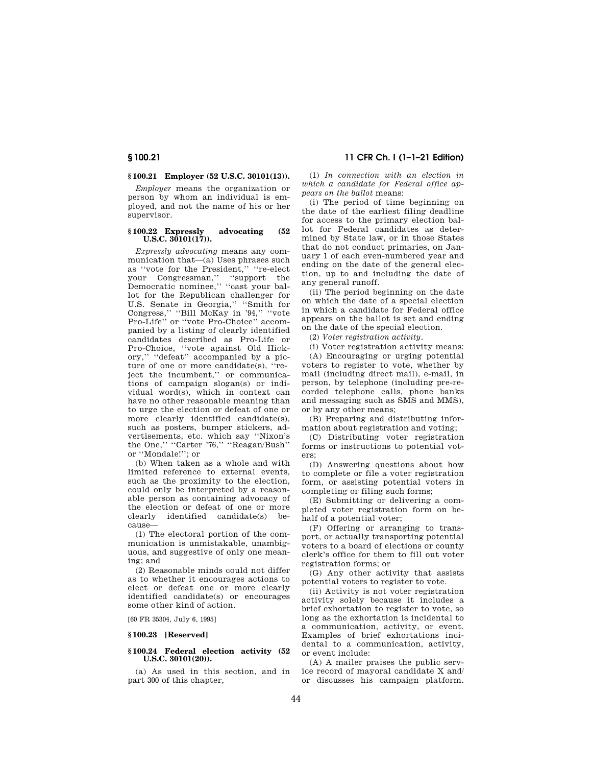## **§ 100.21 Employer (52 U.S.C. 30101(13)).**

*Employer* means the organization or person by whom an individual is employed, and not the name of his or her supervisor.

#### **§ 100.22 Expressly advocating (52 U.S.C. 30101(17)).**

*Expressly advocating* means any communication that—(a) Uses phrases such as ''vote for the President,'' ''re-elect your Congressman,'' ''support the Democratic nominee,'' ''cast your ballot for the Republican challenger for U.S. Senate in Georgia,'' ''Smith for Congress,'' ''Bill McKay in '94,'' ''vote Pro-Life'' or ''vote Pro-Choice'' accompanied by a listing of clearly identified candidates described as Pro-Life or Pro-Choice, ''vote against Old Hickory,'' ''defeat'' accompanied by a picture of one or more candidate(s), "reject the incumbent,'' or communications of campaign slogan(s) or individual word(s), which in context can have no other reasonable meaning than to urge the election or defeat of one or more clearly identified candidate(s), such as posters, bumper stickers, advertisements, etc. which say ''Nixon's the One." "Carter '76," "Reagan/Bush" or ''Mondale!''; or

(b) When taken as a whole and with limited reference to external events, such as the proximity to the election, could only be interpreted by a reasonable person as containing advocacy of the election or defeat of one or more clearly identified candidate(s) because—

(1) The electoral portion of the communication is unmistakable, unambiguous, and suggestive of only one meaning; and

(2) Reasonable minds could not differ as to whether it encourages actions to elect or defeat one or more clearly identified candidate(s) or encourages some other kind of action.

[60 FR 35304, July 6, 1995]

#### **§ 100.23 [Reserved]**

#### **§ 100.24 Federal election activity (52 U.S.C. 30101(20)).**

(a) As used in this section, and in part 300 of this chapter,

(1) *In connection with an election in which a candidate for Federal office appears on the ballot* means:

(i) The period of time beginning on the date of the earliest filing deadline for access to the primary election ballot for Federal candidates as determined by State law, or in those States that do not conduct primaries, on January 1 of each even-numbered year and ending on the date of the general election, up to and including the date of any general runoff.

(ii) The period beginning on the date on which the date of a special election in which a candidate for Federal office appears on the ballot is set and ending on the date of the special election.

(2) *Voter registration activity.* 

(i) Voter registration activity means: (A) Encouraging or urging potential voters to register to vote, whether by mail (including direct mail), e-mail, in person, by telephone (including pre-recorded telephone calls, phone banks and messaging such as SMS and MMS), or by any other means;

(B) Preparing and distributing information about registration and voting;

(C) Distributing voter registration forms or instructions to potential voters;

(D) Answering questions about how to complete or file a voter registration form, or assisting potential voters in completing or filing such forms;

(E) Submitting or delivering a completed voter registration form on behalf of a potential voter;

(F) Offering or arranging to transport, or actually transporting potential voters to a board of elections or county clerk's office for them to fill out voter registration forms; or

(G) Any other activity that assists potential voters to register to vote.

(ii) Activity is not voter registration activity solely because it includes a brief exhortation to register to vote, so long as the exhortation is incidental to a communication, activity, or event. Examples of brief exhortations incidental to a communication, activity, or event include:

(A) A mailer praises the public service record of mayoral candidate X and/ or discusses his campaign platform.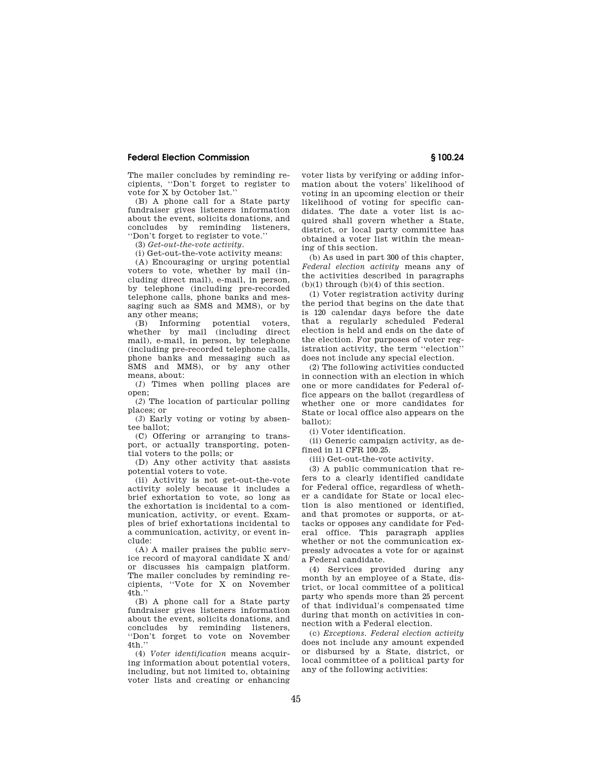The mailer concludes by reminding recipients, ''Don't forget to register to vote for X by October 1st.''

(B) A phone call for a State party fundraiser gives listeners information about the event, solicits donations, and concludes by reminding listeners, ''Don't forget to register to vote.''

(3) *Get-out-the-vote activity.* 

(i) Get-out-the-vote activity means:

(A) Encouraging or urging potential voters to vote, whether by mail (including direct mail), e-mail, in person, by telephone (including pre-recorded telephone calls, phone banks and messaging such as SMS and MMS), or by any other means;

(B) Informing potential voters, whether by mail (including direct mail), e-mail, in person, by telephone (including pre-recorded telephone calls, phone banks and messaging such as SMS and MMS), or by any other means, about:

(*1*) Times when polling places are open;

(*2*) The location of particular polling places; or

(*3*) Early voting or voting by absentee ballot;

(C) Offering or arranging to transport, or actually transporting, potential voters to the polls; or

(D) Any other activity that assists potential voters to vote.

(ii) Activity is not get-out-the-vote activity solely because it includes a brief exhortation to vote, so long as the exhortation is incidental to a communication, activity, or event. Examples of brief exhortations incidental to a communication, activity, or event include:

(A) A mailer praises the public service record of mayoral candidate X and/ or discusses his campaign platform. The mailer concludes by reminding recipients, ''Vote for X on November  $4t\bar{h}$ .

(B) A phone call for a State party fundraiser gives listeners information about the event, solicits donations, and concludes by reminding listeners, ''Don't forget to vote on November 4th.''

(4) *Voter identification* means acquiring information about potential voters, including, but not limited to, obtaining voter lists and creating or enhancing

voter lists by verifying or adding information about the voters' likelihood of voting in an upcoming election or their likelihood of voting for specific candidates. The date a voter list is acquired shall govern whether a State, district, or local party committee has obtained a voter list within the meaning of this section.

(b) As used in part 300 of this chapter, *Federal election activity* means any of the activities described in paragraphs  $(b)(1)$  through  $(b)(4)$  of this section.

(1) Voter registration activity during the period that begins on the date that is 120 calendar days before the date that a regularly scheduled Federal election is held and ends on the date of the election. For purposes of voter registration activity, the term ''election'' does not include any special election.

(2) The following activities conducted in connection with an election in which one or more candidates for Federal office appears on the ballot (regardless of whether one or more candidates for State or local office also appears on the ballot):

(i) Voter identification.

(ii) Generic campaign activity, as defined in 11 CFR 100.25.

(iii) Get-out-the-vote activity.

(3) A public communication that refers to a clearly identified candidate for Federal office, regardless of whether a candidate for State or local election is also mentioned or identified, and that promotes or supports, or attacks or opposes any candidate for Federal office. This paragraph applies whether or not the communication expressly advocates a vote for or against a Federal candidate.

(4) Services provided during any month by an employee of a State, district, or local committee of a political party who spends more than 25 percent of that individual's compensated time during that month on activities in connection with a Federal election.

(c) *Exceptions. Federal election activity*  does not include any amount expended or disbursed by a State, district, or local committee of a political party for any of the following activities: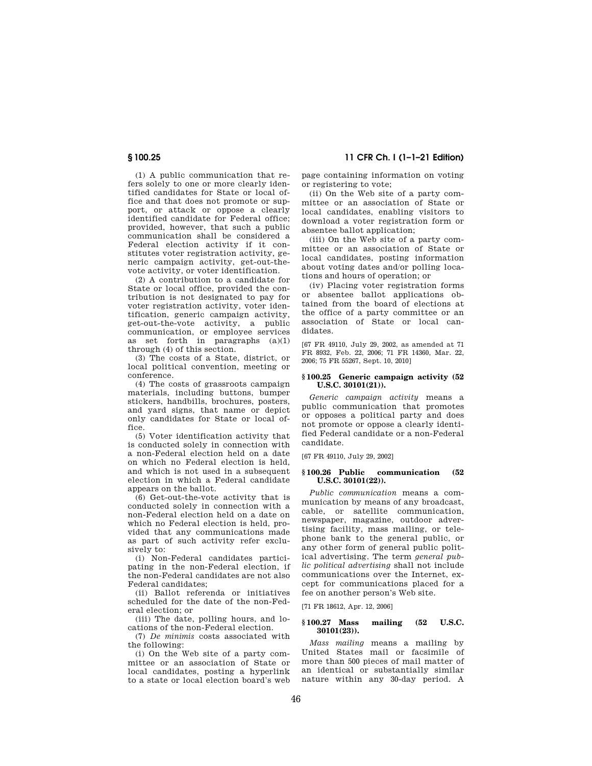**§ 100.25 11 CFR Ch. I (1–1–21 Edition)** 

(1) A public communication that refers solely to one or more clearly identified candidates for State or local office and that does not promote or support, or attack or oppose a clearly identified candidate for Federal office; provided, however, that such a public communication shall be considered a Federal election activity if it constitutes voter registration activity, generic campaign activity, get-out-thevote activity, or voter identification.

(2) A contribution to a candidate for State or local office, provided the contribution is not designated to pay for voter registration activity, voter identification, generic campaign activity, get-out-the-vote activity, a public communication, or employee services as set forth in paragraphs (a)(1) through (4) of this section.

(3) The costs of a State, district, or local political convention, meeting or conference.

(4) The costs of grassroots campaign materials, including buttons, bumper stickers, handbills, brochures, posters, and yard signs, that name or depict only candidates for State or local office.

(5) Voter identification activity that is conducted solely in connection with a non-Federal election held on a date on which no Federal election is held, and which is not used in a subsequent election in which a Federal candidate appears on the ballot.

(6) Get-out-the-vote activity that is conducted solely in connection with a non-Federal election held on a date on which no Federal election is held, provided that any communications made as part of such activity refer exclusively to:

(i) Non-Federal candidates participating in the non-Federal election, if the non-Federal candidates are not also Federal candidates;

(ii) Ballot referenda or initiatives scheduled for the date of the non-Federal election; or

(iii) The date, polling hours, and locations of the non-Federal election.

(7) *De minimis* costs associated with the following:

(i) On the Web site of a party committee or an association of State or local candidates, posting a hyperlink to a state or local election board's web page containing information on voting or registering to vote;

(ii) On the Web site of a party committee or an association of State or local candidates, enabling visitors to download a voter registration form or absentee ballot application;

(iii) On the Web site of a party committee or an association of State or local candidates, posting information about voting dates and/or polling locations and hours of operation; or

(iv) Placing voter registration forms or absentee ballot applications obtained from the board of elections at the office of a party committee or an association of State or local candidates.

[67 FR 49110, July 29, 2002, as amended at 71 FR 8932, Feb. 22, 2006; 71 FR 14360, Mar. 22, 2006; 75 FR 55267, Sept. 10, 2010]

#### **§ 100.25 Generic campaign activity (52 U.S.C. 30101(21)).**

*Generic campaign activity* means a public communication that promotes or opposes a political party and does not promote or oppose a clearly identified Federal candidate or a non-Federal candidate.

[67 FR 49110, July 29, 2002]

## **§ 100.26 Public communication (52 U.S.C. 30101(22)).**

*Public communication* means a communication by means of any broadcast, cable, or satellite communication, newspaper, magazine, outdoor advertising facility, mass mailing, or telephone bank to the general public, or any other form of general public political advertising. The term *general public political advertising* shall not include communications over the Internet, except for communications placed for a fee on another person's Web site.

[71 FR 18612, Apr. 12, 2006]

## **§ 100.27 Mass mailing (52 U.S.C. 30101(23)).**

*Mass mailing* means a mailing by United States mail or facsimile of more than 500 pieces of mail matter of an identical or substantially similar nature within any 30-day period. A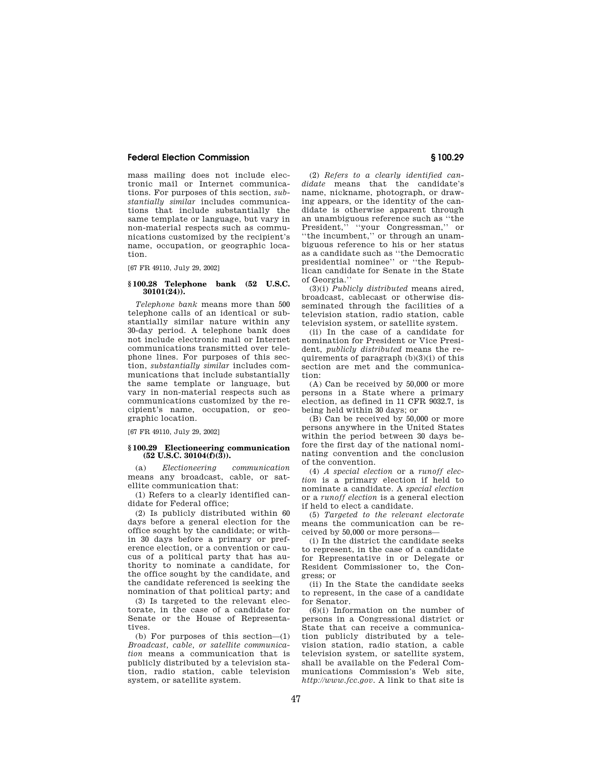mass mailing does not include electronic mail or Internet communications. For purposes of this section, *substantially similar* includes communications that include substantially the same template or language, but vary in non-material respects such as communications customized by the recipient's name, occupation, or geographic location.

[67 FR 49110, July 29, 2002]

#### **§ 100.28 Telephone bank (52 U.S.C. 30101(24)).**

*Telephone bank* means more than 500 telephone calls of an identical or substantially similar nature within any 30-day period. A telephone bank does not include electronic mail or Internet communications transmitted over telephone lines. For purposes of this section, *substantially similar* includes communications that include substantially the same template or language, but vary in non-material respects such as communications customized by the recipient's name, occupation, or geographic location.

[67 FR 49110, July 29, 2002]

## **§ 100.29 Electioneering communication**   $(52 \text{ U.S.C. } 30104 \cdot f)(3)$ .

(a) *Electioneering communication*  means any broadcast, cable, or satellite communication that:

(1) Refers to a clearly identified candidate for Federal office;

(2) Is publicly distributed within 60 days before a general election for the office sought by the candidate; or within 30 days before a primary or preference election, or a convention or caucus of a political party that has authority to nominate a candidate, for the office sought by the candidate, and the candidate referenced is seeking the nomination of that political party; and

(3) Is targeted to the relevant electorate, in the case of a candidate for Senate or the House of Representatives.

(b) For purposes of this section—(1) *Broadcast, cable, or satellite communication* means a communication that is publicly distributed by a television station, radio station, cable television system, or satellite system.

(2) *Refers to a clearly identified candidate* means that the candidate's name, nickname, photograph, or drawing appears, or the identity of the candidate is otherwise apparent through an unambiguous reference such as ''the President," "your Congressman," or ''the incumbent,'' or through an unambiguous reference to his or her status as a candidate such as ''the Democratic presidential nominee'' or ''the Republican candidate for Senate in the State of Georgia.''

(3)(i) *Publicly distributed* means aired, broadcast, cablecast or otherwise disseminated through the facilities of a television station, radio station, cable television system, or satellite system.

(ii) In the case of a candidate for nomination for President or Vice President, *publicly distributed* means the requirements of paragraph (b)(3)(i) of this section are met and the communication:

(A) Can be received by 50,000 or more persons in a State where a primary election, as defined in 11 CFR 9032.7, is being held within 30 days; or

(B) Can be received by 50,000 or more persons anywhere in the United States within the period between 30 days before the first day of the national nominating convention and the conclusion of the convention.

(4) *A special election* or a *runoff election* is a primary election if held to nominate a candidate. A *special election*  or a *runoff election* is a general election if held to elect a candidate.

(5) *Targeted to the relevant electorate*  means the communication can be received by 50,000 or more persons—

(i) In the district the candidate seeks to represent, in the case of a candidate for Representative in or Delegate or Resident Commissioner to, the Congress; or

(ii) In the State the candidate seeks to represent, in the case of a candidate for Senator.

(6)(i) Information on the number of persons in a Congressional district or State that can receive a communication publicly distributed by a television station, radio station, a cable television system, or satellite system, shall be available on the Federal Communications Commission's Web site, *http://www.fcc.gov.* A link to that site is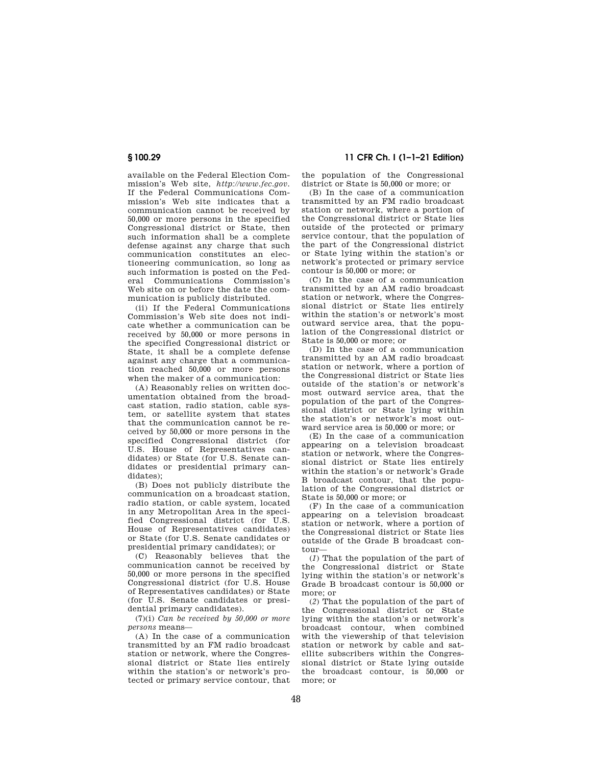available on the Federal Election Commission's Web site, *http://www.fec.gov.*  If the Federal Communications Commission's Web site indicates that a communication cannot be received by 50,000 or more persons in the specified Congressional district or State, then such information shall be a complete defense against any charge that such communication constitutes an electioneering communication, so long as such information is posted on the Federal Communications Commission's Web site on or before the date the communication is publicly distributed.

(ii) If the Federal Communications Commission's Web site does not indicate whether a communication can be received by 50,000 or more persons in the specified Congressional district or State, it shall be a complete defense against any charge that a communication reached 50,000 or more persons when the maker of a communication:

(A) Reasonably relies on written documentation obtained from the broadcast station, radio station, cable system, or satellite system that states that the communication cannot be received by 50,000 or more persons in the specified Congressional district (for U.S. House of Representatives candidates) or State (for U.S. Senate candidates or presidential primary candidates);

(B) Does not publicly distribute the communication on a broadcast station, radio station, or cable system, located in any Metropolitan Area in the specified Congressional district (for U.S. House of Representatives candidates) or State (for U.S. Senate candidates or presidential primary candidates); or

(C) Reasonably believes that the communication cannot be received by 50,000 or more persons in the specified Congressional district (for U.S. House of Representatives candidates) or State (for U.S. Senate candidates or presidential primary candidates).

(7)(i) *Can be received by 50,000 or more persons* means—

(A) In the case of a communication transmitted by an FM radio broadcast station or network, where the Congressional district or State lies entirely within the station's or network's protected or primary service contour, that

**§ 100.29 11 CFR Ch. I (1–1–21 Edition)** 

the population of the Congressional district or State is 50,000 or more; or

(B) In the case of a communication transmitted by an FM radio broadcast station or network, where a portion of the Congressional district or State lies outside of the protected or primary service contour, that the population of the part of the Congressional district or State lying within the station's or network's protected or primary service contour is 50,000 or more; or

(C) In the case of a communication transmitted by an AM radio broadcast station or network, where the Congressional district or State lies entirely within the station's or network's most outward service area, that the population of the Congressional district or State is 50,000 or more; or

(D) In the case of a communication transmitted by an AM radio broadcast station or network, where a portion of the Congressional district or State lies outside of the station's or network's most outward service area, that the population of the part of the Congressional district or State lying within the station's or network's most outward service area is 50,000 or more; or

(E) In the case of a communication appearing on a television broadcast station or network, where the Congressional district or State lies entirely within the station's or network's Grade B broadcast contour, that the population of the Congressional district or State is 50,000 or more; or

(F) In the case of a communication appearing on a television broadcast station or network, where a portion of the Congressional district or State lies outside of the Grade B broadcast contour—

(*1*) That the population of the part of the Congressional district or State lying within the station's or network's Grade B broadcast contour is 50,000 or more; or

(*2*) That the population of the part of the Congressional district or State lying within the station's or network's broadcast contour, when combined with the viewership of that television station or network by cable and satellite subscribers within the Congressional district or State lying outside the broadcast contour, is 50,000 or more; or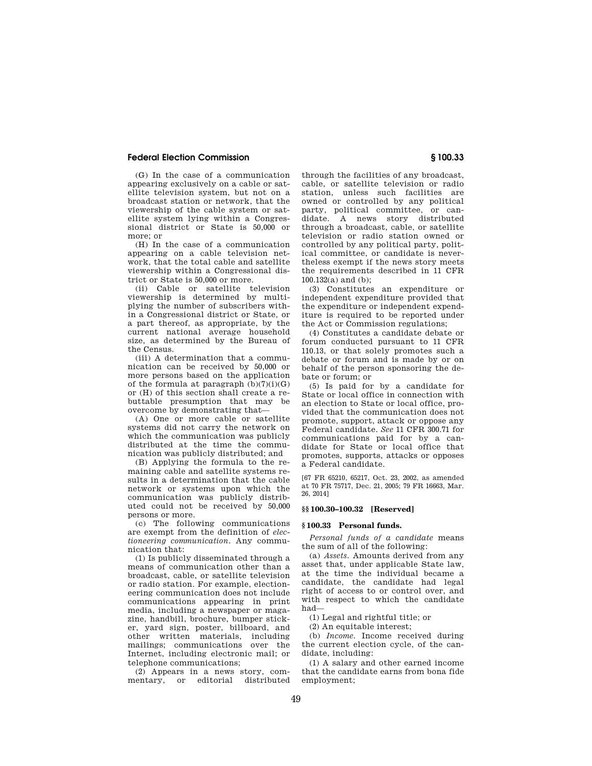(G) In the case of a communication appearing exclusively on a cable or satellite television system, but not on a broadcast station or network, that the viewership of the cable system or satellite system lying within a Congressional district or State is 50,000 or more; or

(H) In the case of a communication appearing on a cable television network, that the total cable and satellite viewership within a Congressional district or State is 50,000 or more.

(ii) Cable or satellite television viewership is determined by multiplying the number of subscribers within a Congressional district or State, or a part thereof, as appropriate, by the current national average household size, as determined by the Bureau of the Census.

(iii) A determination that a communication can be received by 50,000 or more persons based on the application of the formula at paragraph  $(b)(7)(i)(G)$ or (H) of this section shall create a rebuttable presumption that may be overcome by demonstrating that—

(A) One or more cable or satellite systems did not carry the network on which the communication was publicly distributed at the time the communication was publicly distributed; and

(B) Applying the formula to the remaining cable and satellite systems results in a determination that the cable network or systems upon which the communication was publicly distributed could not be received by 50,000 persons or more.

(c) The following communications are exempt from the definition of *electioneering communication.* Any communication that:

(1) Is publicly disseminated through a means of communication other than a broadcast, cable, or satellite television or radio station. For example, electioneering communication does not include communications appearing in print media, including a newspaper or magazine, handbill, brochure, bumper sticker, yard sign, poster, billboard, and other written materials, including mailings; communications over the Internet, including electronic mail; or telephone communications;

(2) Appears in a news story, commentary, or

through the facilities of any broadcast, cable, or satellite television or radio station, unless such facilities are owned or controlled by any political party, political committee, or candidate. A news story distributed through a broadcast, cable, or satellite television or radio station owned or controlled by any political party, political committee, or candidate is nevertheless exempt if the news story meets the requirements described in 11 CFR 100.132(a) and  $(b)$ ;

(3) Constitutes an expenditure or independent expenditure provided that the expenditure or independent expenditure is required to be reported under the Act or Commission regulations;

(4) Constitutes a candidate debate or forum conducted pursuant to 11 CFR 110.13, or that solely promotes such a debate or forum and is made by or on behalf of the person sponsoring the debate or forum; or

(5) Is paid for by a candidate for State or local office in connection with an election to State or local office, provided that the communication does not promote, support, attack or oppose any Federal candidate. *See* 11 CFR 300.71 for communications paid for by a candidate for State or local office that promotes, supports, attacks or opposes a Federal candidate.

[67 FR 65210, 65217, Oct. 23, 2002, as amended at 70 FR 75717, Dec. 21, 2005; 79 FR 16663, Mar. 26, 2014]

# **§§ 100.30–100.32 [Reserved]**

#### **§ 100.33 Personal funds.**

*Personal funds of a candidate* means the sum of all of the following:

(a) *Assets.* Amounts derived from any asset that, under applicable State law, at the time the individual became a candidate, the candidate had legal right of access to or control over, and with respect to which the candidate had—

(1) Legal and rightful title; or

(2) An equitable interest;

(b) *Income.* Income received during the current election cycle, of the candidate, including:

(1) A salary and other earned income that the candidate earns from bona fide employment;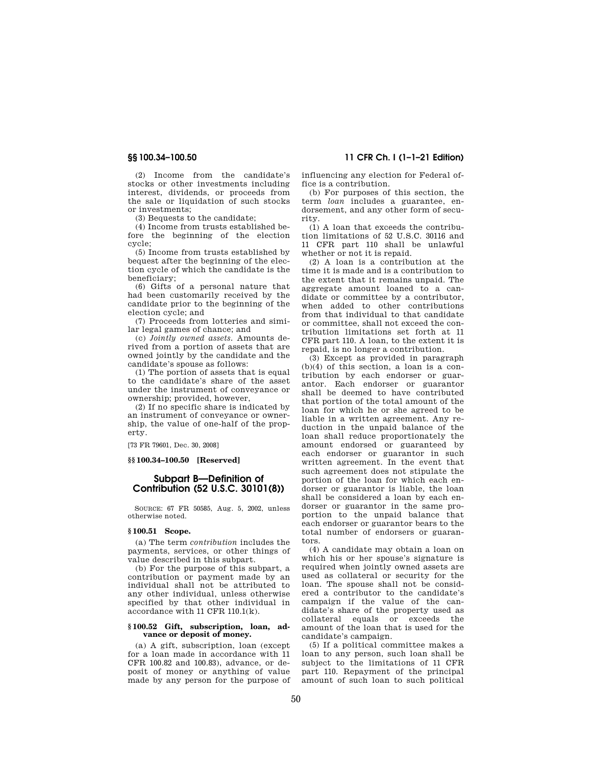(2) Income from the candidate's stocks or other investments including interest, dividends, or proceeds from the sale or liquidation of such stocks or investments;

(3) Bequests to the candidate;

(4) Income from trusts established before the beginning of the election cycle;

(5) Income from trusts established by bequest after the beginning of the election cycle of which the candidate is the beneficiary;

(6) Gifts of a personal nature that had been customarily received by the candidate prior to the beginning of the election cycle; and

(7) Proceeds from lotteries and similar legal games of chance; and

(c) *Jointly owned assets.* Amounts derived from a portion of assets that are owned jointly by the candidate and the candidate's spouse as follows:

(1) The portion of assets that is equal to the candidate's share of the asset under the instrument of conveyance or ownership; provided, however,

(2) If no specific share is indicated by an instrument of conveyance or ownership, the value of one-half of the property.

[73 FR 79601, Dec. 30, 2008]

#### **§§ 100.34–100.50 [Reserved]**

# **Subpart B—Definition of Contribution (52 U.S.C. 30101(8))**

SOURCE: 67 FR 50585, Aug. 5, 2002, unless otherwise noted.

#### **§ 100.51 Scope.**

(a) The term *contribution* includes the payments, services, or other things of value described in this subpart.

(b) For the purpose of this subpart, a contribution or payment made by an individual shall not be attributed to any other individual, unless otherwise specified by that other individual in accordance with 11 CFR 110.1(k).

#### **§ 100.52 Gift, subscription, loan, advance or deposit of money.**

(a) A gift, subscription, loan (except for a loan made in accordance with 11 CFR 100.82 and 100.83), advance, or deposit of money or anything of value made by any person for the purpose of influencing any election for Federal office is a contribution.

(b) For purposes of this section, the term *loan* includes a guarantee, endorsement, and any other form of security.

(1) A loan that exceeds the contribution limitations of 52 U.S.C. 30116 and 11 CFR part 110 shall be unlawful whether or not it is repaid.

(2) A loan is a contribution at the time it is made and is a contribution to the extent that it remains unpaid. The aggregate amount loaned to a candidate or committee by a contributor, when added to other contributions from that individual to that candidate or committee, shall not exceed the contribution limitations set forth at 11 CFR part 110. A loan, to the extent it is repaid, is no longer a contribution.

(3) Except as provided in paragraph (b)(4) of this section, a loan is a contribution by each endorser or guarantor. Each endorser or guarantor shall be deemed to have contributed that portion of the total amount of the loan for which he or she agreed to be liable in a written agreement. Any reduction in the unpaid balance of the loan shall reduce proportionately the amount endorsed or guaranteed by each endorser or guarantor in such written agreement. In the event that such agreement does not stipulate the portion of the loan for which each endorser or guarantor is liable, the loan shall be considered a loan by each endorser or guarantor in the same proportion to the unpaid balance that each endorser or guarantor bears to the total number of endorsers or guarantors.

(4) A candidate may obtain a loan on which his or her spouse's signature is required when jointly owned assets are used as collateral or security for the loan. The spouse shall not be considered a contributor to the candidate's campaign if the value of the candidate's share of the property used as collateral equals or exceeds the amount of the loan that is used for the candidate's campaign.

(5) If a political committee makes a loan to any person, such loan shall be subject to the limitations of 11 CFR part 110. Repayment of the principal amount of such loan to such political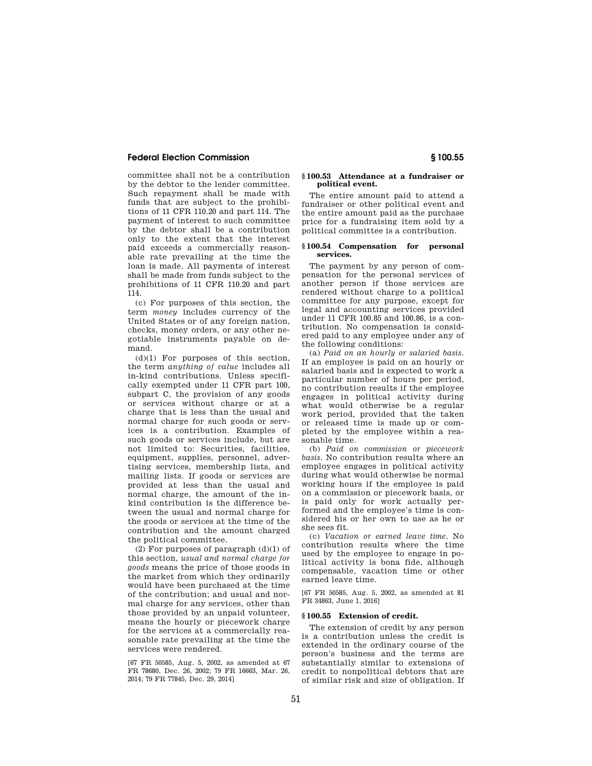committee shall not be a contribution by the debtor to the lender committee. Such repayment shall be made with funds that are subject to the prohibitions of 11 CFR 110.20 and part 114. The payment of interest to such committee by the debtor shall be a contribution only to the extent that the interest paid exceeds a commercially reasonable rate prevailing at the time the loan is made. All payments of interest shall be made from funds subject to the prohibitions of 11 CFR 110.20 and part 114.

(c) For purposes of this section, the term *money* includes currency of the United States or of any foreign nation, checks, money orders, or any other negotiable instruments payable on demand.

 $(d)(1)$  For purposes of this section, the term *anything of value* includes all in-kind contributions. Unless specifically exempted under 11 CFR part 100, subpart C, the provision of any goods or services without charge or at a charge that is less than the usual and normal charge for such goods or services is a contribution. Examples of such goods or services include, but are not limited to: Securities, facilities, equipment, supplies, personnel, advertising services, membership lists, and mailing lists. If goods or services are provided at less than the usual and normal charge, the amount of the inkind contribution is the difference between the usual and normal charge for the goods or services at the time of the contribution and the amount charged the political committee.

(2) For purposes of paragraph  $(d)(1)$  of this section, *usual and normal charge for goods* means the price of those goods in the market from which they ordinarily would have been purchased at the time of the contribution; and usual and normal charge for any services, other than those provided by an unpaid volunteer, means the hourly or piecework charge for the services at a commercially reasonable rate prevailing at the time the services were rendered.

[67 FR 50585, Aug. 5, 2002, as amended at 67 FR 78680, Dec. 26, 2002; 79 FR 16663, Mar. 26, 2014; 79 FR 77845, Dec. 29, 2014]

## **§ 100.53 Attendance at a fundraiser or political event.**

The entire amount paid to attend a fundraiser or other political event and the entire amount paid as the purchase price for a fundraising item sold by a political committee is a contribution.

## **§ 100.54 Compensation for personal services.**

The payment by any person of compensation for the personal services of another person if those services are rendered without charge to a political committee for any purpose, except for legal and accounting services provided under 11 CFR 100.85 and 100.86, is a contribution. No compensation is considered paid to any employee under any of the following conditions:

(a) *Paid on an hourly or salaried basis.*  If an employee is paid on an hourly or salaried basis and is expected to work a particular number of hours per period, no contribution results if the employee engages in political activity during what would otherwise be a regular work period, provided that the taken or released time is made up or completed by the employee within a reasonable time.

(b) *Paid on commission or piecework basis.* No contribution results where an employee engages in political activity during what would otherwise be normal working hours if the employee is paid on a commission or piecework basis, or is paid only for work actually performed and the employee's time is considered his or her own to use as he or she sees fit.

(c) *Vacation or earned leave time.* No contribution results where the time used by the employee to engage in political activity is bona fide, although compensable, vacation time or other earned leave time.

[67 FR 50585, Aug. 5, 2002, as amended at 81 FR 34863, June 1, 2016]

## **§ 100.55 Extension of credit.**

The extension of credit by any person is a contribution unless the credit is extended in the ordinary course of the person's business and the terms are substantially similar to extensions of credit to nonpolitical debtors that are of similar risk and size of obligation. If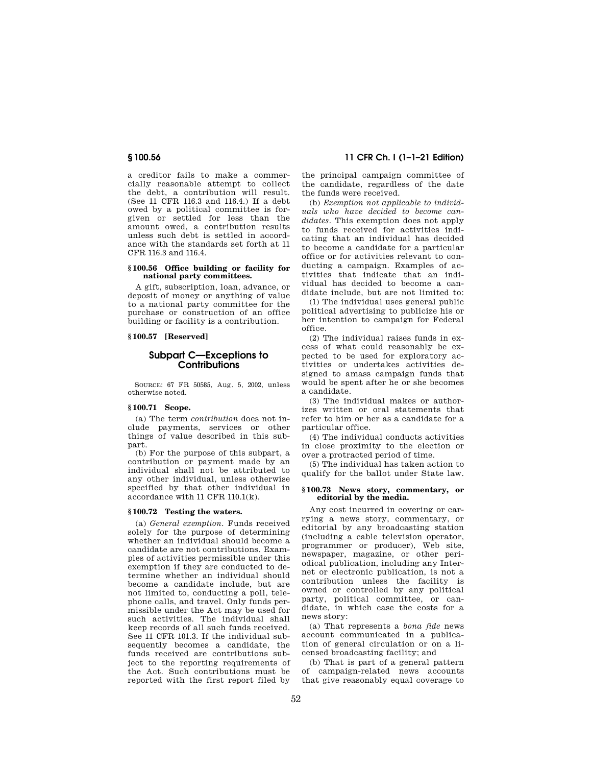a creditor fails to make a commercially reasonable attempt to collect the debt, a contribution will result. (See 11 CFR 116.3 and 116.4.) If a debt owed by a political committee is forgiven or settled for less than the amount owed, a contribution results unless such debt is settled in accordance with the standards set forth at 11 CFR 116.3 and 116.4.

#### **§ 100.56 Office building or facility for national party committees.**

A gift, subscription, loan, advance, or deposit of money or anything of value to a national party committee for the purchase or construction of an office building or facility is a contribution.

## **§ 100.57 [Reserved]**

# **Subpart C—Exceptions to Contributions**

SOURCE: 67 FR 50585, Aug. 5, 2002, unless otherwise noted.

## **§ 100.71 Scope.**

(a) The term *contribution* does not include payments, services or other things of value described in this subpart.

(b) For the purpose of this subpart, a contribution or payment made by an individual shall not be attributed to any other individual, unless otherwise specified by that other individual in accordance with 11 CFR 110.1(k).

#### **§ 100.72 Testing the waters.**

(a) *General exemption.* Funds received solely for the purpose of determining whether an individual should become a candidate are not contributions. Examples of activities permissible under this exemption if they are conducted to determine whether an individual should become a candidate include, but are not limited to, conducting a poll, telephone calls, and travel. Only funds permissible under the Act may be used for such activities. The individual shall keep records of all such funds received. See 11 CFR 101.3. If the individual subsequently becomes a candidate, the funds received are contributions subject to the reporting requirements of the Act. Such contributions must be reported with the first report filed by

**§ 100.56 11 CFR Ch. I (1–1–21 Edition)** 

the principal campaign committee of the candidate, regardless of the date the funds were received.

(b) *Exemption not applicable to individuals who have decided to become candidates.* This exemption does not apply to funds received for activities indicating that an individual has decided to become a candidate for a particular office or for activities relevant to conducting a campaign. Examples of activities that indicate that an individual has decided to become a candidate include, but are not limited to:

(1) The individual uses general public political advertising to publicize his or her intention to campaign for Federal office.

(2) The individual raises funds in excess of what could reasonably be expected to be used for exploratory activities or undertakes activities designed to amass campaign funds that would be spent after he or she becomes a candidate.

(3) The individual makes or authorizes written or oral statements that refer to him or her as a candidate for a particular office.

(4) The individual conducts activities in close proximity to the election or over a protracted period of time.

(5) The individual has taken action to qualify for the ballot under State law.

## **§ 100.73 News story, commentary, or editorial by the media.**

Any cost incurred in covering or carrying a news story, commentary, or editorial by any broadcasting station (including a cable television operator, programmer or producer), Web site, newspaper, magazine, or other periodical publication, including any Internet or electronic publication, is not a contribution unless the facility is owned or controlled by any political party, political committee, or candidate, in which case the costs for a news story:

(a) That represents a *bona fide* news account communicated in a publication of general circulation or on a licensed broadcasting facility; and

(b) That is part of a general pattern of campaign-related news accounts that give reasonably equal coverage to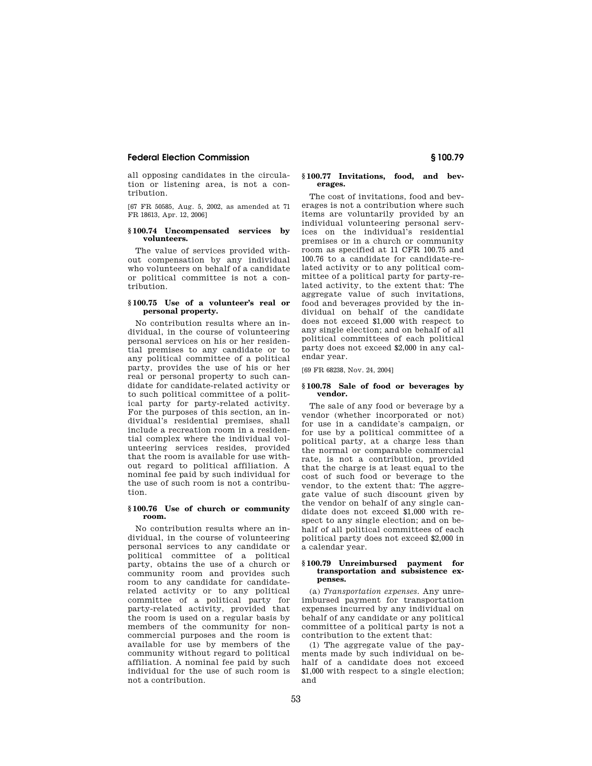all opposing candidates in the circulation or listening area, is not a contribution.

[67 FR 50585, Aug. 5, 2002, as amended at 71 FR 18613, Apr. 12, 2006]

## **§ 100.74 Uncompensated services by volunteers.**

The value of services provided without compensation by any individual who volunteers on behalf of a candidate or political committee is not a contribution.

#### **§ 100.75 Use of a volunteer's real or personal property.**

No contribution results where an individual, in the course of volunteering personal services on his or her residential premises to any candidate or to any political committee of a political party, provides the use of his or her real or personal property to such candidate for candidate-related activity or to such political committee of a political party for party-related activity. For the purposes of this section, an individual's residential premises, shall include a recreation room in a residential complex where the individual volunteering services resides, provided that the room is available for use without regard to political affiliation. A nominal fee paid by such individual for the use of such room is not a contribution.

## **§ 100.76 Use of church or community room.**

No contribution results where an individual, in the course of volunteering personal services to any candidate or political committee of a political party, obtains the use of a church or community room and provides such room to any candidate for candidaterelated activity or to any political committee of a political party for party-related activity, provided that the room is used on a regular basis by members of the community for noncommercial purposes and the room is available for use by members of the community without regard to political affiliation. A nominal fee paid by such individual for the use of such room is not a contribution.

## **§ 100.77 Invitations, food, and beverages.**

The cost of invitations, food and beverages is not a contribution where such items are voluntarily provided by an individual volunteering personal services on the individual's residential premises or in a church or community room as specified at 11 CFR 100.75 and 100.76 to a candidate for candidate-related activity or to any political committee of a political party for party-related activity, to the extent that: The aggregate value of such invitations, food and beverages provided by the individual on behalf of the candidate does not exceed \$1,000 with respect to any single election; and on behalf of all political committees of each political party does not exceed \$2,000 in any calendar year.

[69 FR 68238, Nov. 24, 2004]

#### **§ 100.78 Sale of food or beverages by vendor.**

The sale of any food or beverage by a vendor (whether incorporated or not) for use in a candidate's campaign, or for use by a political committee of a political party, at a charge less than the normal or comparable commercial rate, is not a contribution, provided that the charge is at least equal to the cost of such food or beverage to the vendor, to the extent that: The aggregate value of such discount given by the vendor on behalf of any single candidate does not exceed \$1,000 with respect to any single election; and on behalf of all political committees of each political party does not exceed \$2,000 in a calendar year.

#### **§ 100.79 Unreimbursed payment for transportation and subsistence expenses.**

(a) *Transportation expenses.* Any unreimbursed payment for transportation expenses incurred by any individual on behalf of any candidate or any political committee of a political party is not a contribution to the extent that:

(1) The aggregate value of the payments made by such individual on behalf of a candidate does not exceed \$1,000 with respect to a single election; and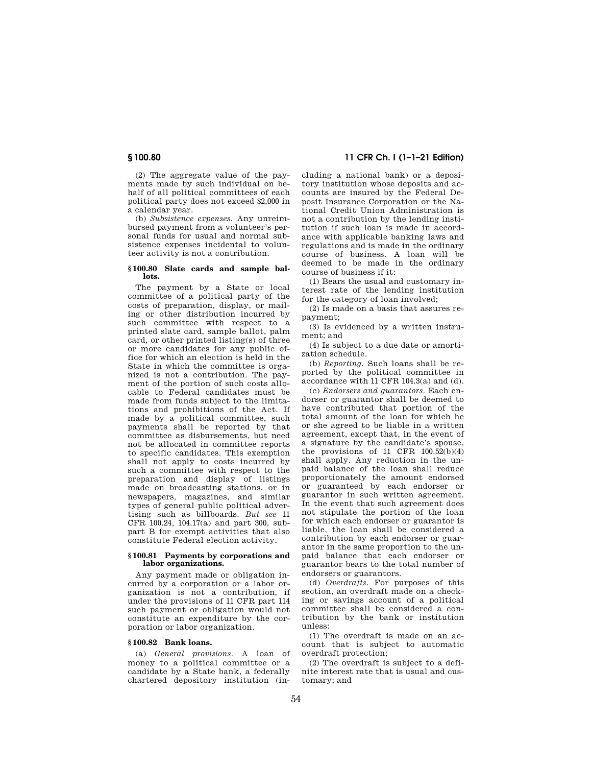(2) The aggregate value of the payments made by such individual on behalf of all political committees of each political party does not exceed \$2,000 in a calendar year.

(b) *Subsistence expenses.* Any unreimbursed payment from a volunteer's personal funds for usual and normal subsistence expenses incidental to volunteer activity is not a contribution.

#### **§ 100.80 Slate cards and sample ballots.**

The payment by a State or local committee of a political party of the costs of preparation, display, or mailing or other distribution incurred by such committee with respect to a printed slate card, sample ballot, palm card, or other printed listing(s) of three or more candidates for any public office for which an election is held in the State in which the committee is organized is not a contribution. The payment of the portion of such costs allocable to Federal candidates must be made from funds subject to the limitations and prohibitions of the Act. If made by a political committee, such payments shall be reported by that committee as disbursements, but need not be allocated in committee reports to specific candidates. This exemption shall not apply to costs incurred by such a committee with respect to the preparation and display of listings made on broadcasting stations, or in newspapers, magazines, and similar types of general public political advertising such as billboards. *But see* 11 CFR 100.24, 104.17(a) and part 300, subpart B for exempt activities that also constitute Federal election activity.

#### **§ 100.81 Payments by corporations and labor organizations.**

Any payment made or obligation incurred by a corporation or a labor organization is not a contribution, if under the provisions of 11 CFR part 114 such payment or obligation would not constitute an expenditure by the corporation or labor organization.

## **§ 100.82 Bank loans.**

(a) *General provisions.* A loan of money to a political committee or a candidate by a State bank, a federally chartered depository institution (in-

**§ 100.80 11 CFR Ch. I (1–1–21 Edition)** 

cluding a national bank) or a depository institution whose deposits and accounts are insured by the Federal Deposit Insurance Corporation or the National Credit Union Administration is not a contribution by the lending institution if such loan is made in accordance with applicable banking laws and regulations and is made in the ordinary course of business. A loan will be deemed to be made in the ordinary course of business if it:

(1) Bears the usual and customary interest rate of the lending institution for the category of loan involved;

(2) Is made on a basis that assures repayment;

(3) Is evidenced by a written instrument; and

(4) Is subject to a due date or amortization schedule.

(b) *Reporting.* Such loans shall be reported by the political committee in accordance with 11 CFR 104.3(a) and (d).

(c) *Endorsers and guarantors.* Each endorser or guarantor shall be deemed to have contributed that portion of the total amount of the loan for which he or she agreed to be liable in a written agreement, except that, in the event of a signature by the candidate's spouse, the provisions of 11 CFR  $100.52(b)(4)$ shall apply. Any reduction in the unpaid balance of the loan shall reduce proportionately the amount endorsed or guaranteed by each endorser or guarantor in such written agreement. In the event that such agreement does not stipulate the portion of the loan for which each endorser or guarantor is liable, the loan shall be considered a contribution by each endorser or guarantor in the same proportion to the unpaid balance that each endorser or guarantor bears to the total number of endorsers or guarantors.

(d) *Overdrafts.* For purposes of this section, an overdraft made on a checking or savings account of a political committee shall be considered a contribution by the bank or institution unless:

(1) The overdraft is made on an account that is subject to automatic overdraft protection;

(2) The overdraft is subject to a definite interest rate that is usual and customary; and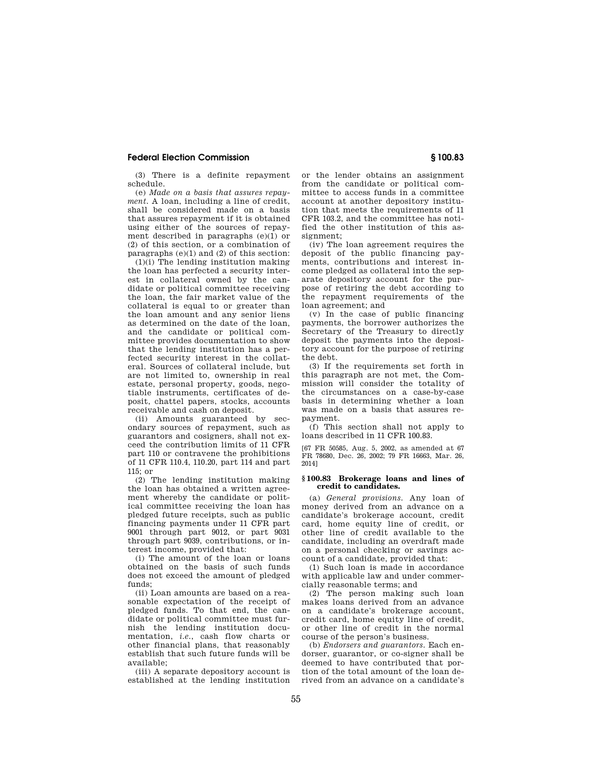(3) There is a definite repayment schedule.

(e) *Made on a basis that assures repayment.* A loan, including a line of credit, shall be considered made on a basis that assures repayment if it is obtained using either of the sources of repayment described in paragraphs (e)(1) or (2) of this section, or a combination of paragraphs (e)(1) and (2) of this section:

(1)(i) The lending institution making the loan has perfected a security interest in collateral owned by the candidate or political committee receiving the loan, the fair market value of the collateral is equal to or greater than the loan amount and any senior liens as determined on the date of the loan, and the candidate or political committee provides documentation to show that the lending institution has a perfected security interest in the collateral. Sources of collateral include, but are not limited to, ownership in real estate, personal property, goods, negotiable instruments, certificates of deposit, chattel papers, stocks, accounts receivable and cash on deposit.

(ii) Amounts guaranteed by secondary sources of repayment, such as guarantors and cosigners, shall not exceed the contribution limits of 11 CFR part 110 or contravene the prohibitions of 11 CFR 110.4, 110.20, part 114 and part  $115$ ; or

(2) The lending institution making the loan has obtained a written agreement whereby the candidate or political committee receiving the loan has pledged future receipts, such as public financing payments under 11 CFR part 9001 through part 9012, or part 9031 through part 9039, contributions, or interest income, provided that:

(i) The amount of the loan or loans obtained on the basis of such funds does not exceed the amount of pledged funds;

(ii) Loan amounts are based on a reasonable expectation of the receipt of pledged funds. To that end, the candidate or political committee must furnish the lending institution documentation, *i.e.*, cash flow charts or other financial plans, that reasonably establish that such future funds will be available;

(iii) A separate depository account is established at the lending institution or the lender obtains an assignment from the candidate or political committee to access funds in a committee account at another depository institution that meets the requirements of 11 CFR 103.2, and the committee has notified the other institution of this assignment;

(iv) The loan agreement requires the deposit of the public financing payments, contributions and interest income pledged as collateral into the separate depository account for the purpose of retiring the debt according to the repayment requirements of the loan agreement; and

(v) In the case of public financing payments, the borrower authorizes the Secretary of the Treasury to directly deposit the payments into the depository account for the purpose of retiring the debt.

(3) If the requirements set forth in this paragraph are not met, the Commission will consider the totality of the circumstances on a case-by-case basis in determining whether a loan was made on a basis that assures repayment.

(f) This section shall not apply to loans described in 11 CFR 100.83.

[67 FR 50585, Aug. 5, 2002, as amended at 67 FR 78680, Dec. 26, 2002; 79 FR 16663, Mar. 26, 2014]

#### **§ 100.83 Brokerage loans and lines of credit to candidates.**

(a) *General provisions.* Any loan of money derived from an advance on a candidate's brokerage account, credit card, home equity line of credit, or other line of credit available to the candidate, including an overdraft made on a personal checking or savings account of a candidate, provided that:

(1) Such loan is made in accordance with applicable law and under commercially reasonable terms; and

(2) The person making such loan makes loans derived from an advance on a candidate's brokerage account, credit card, home equity line of credit, or other line of credit in the normal course of the person's business.

(b) *Endorsers and guarantors.* Each endorser, guarantor, or co-signer shall be deemed to have contributed that portion of the total amount of the loan derived from an advance on a candidate's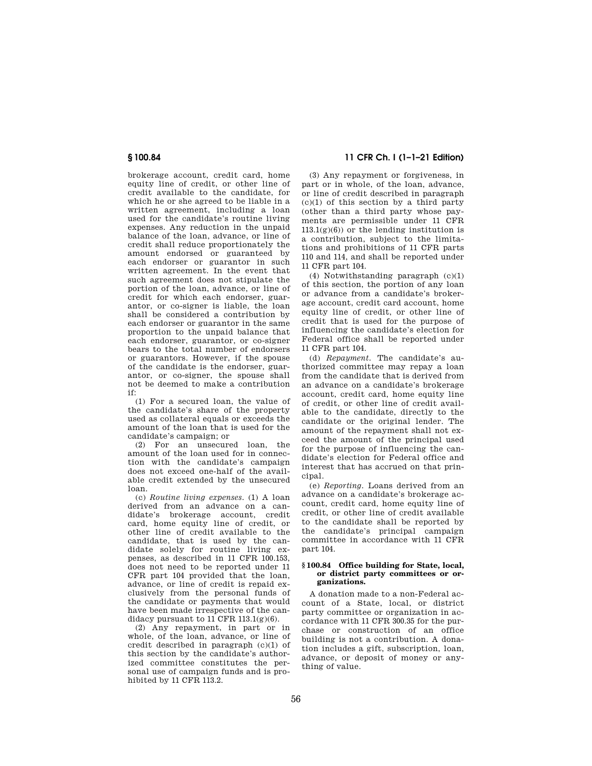brokerage account, credit card, home equity line of credit, or other line of credit available to the candidate, for which he or she agreed to be liable in a written agreement, including a loan used for the candidate's routine living expenses. Any reduction in the unpaid balance of the loan, advance, or line of credit shall reduce proportionately the amount endorsed or guaranteed by each endorser or guarantor in such written agreement. In the event that such agreement does not stipulate the portion of the loan, advance, or line of credit for which each endorser, guarantor, or co-signer is liable, the loan shall be considered a contribution by each endorser or guarantor in the same proportion to the unpaid balance that each endorser, guarantor, or co-signer bears to the total number of endorsers or guarantors. However, if the spouse of the candidate is the endorser, guarantor, or co-signer, the spouse shall not be deemed to make a contribution if:

(1) For a secured loan, the value of the candidate's share of the property used as collateral equals or exceeds the amount of the loan that is used for the candidate's campaign; or

(2) For an unsecured loan, the amount of the loan used for in connection with the candidate's campaign does not exceed one-half of the available credit extended by the unsecured loan.

(c) *Routine living expenses.* (1) A loan derived from an advance on a candidate's brokerage account, credit card, home equity line of credit, or other line of credit available to the candidate, that is used by the candidate solely for routine living expenses, as described in 11 CFR 100.153, does not need to be reported under 11 CFR part 104 provided that the loan, advance, or line of credit is repaid exclusively from the personal funds of the candidate or payments that would have been made irrespective of the candidacy pursuant to  $11$  CFR  $113.1(g)(6)$ .

(2) Any repayment, in part or in whole, of the loan, advance, or line of credit described in paragraph (c)(1) of this section by the candidate's authorized committee constitutes the personal use of campaign funds and is prohibited by 11 CFR 113.2.

# **§ 100.84 11 CFR Ch. I (1–1–21 Edition)**

(3) Any repayment or forgiveness, in part or in whole, of the loan, advance, or line of credit described in paragraph  $(c)(1)$  of this section by a third party (other than a third party whose payments are permissible under 11 CFR  $113.1(g)(6)$  or the lending institution is a contribution, subject to the limitations and prohibitions of 11 CFR parts 110 and 114, and shall be reported under 11 CFR part 104.

(4) Notwithstanding paragraph (c)(1) of this section, the portion of any loan or advance from a candidate's brokerage account, credit card account, home equity line of credit, or other line of credit that is used for the purpose of influencing the candidate's election for Federal office shall be reported under 11 CFR part 104.

(d) *Repayment.* The candidate's authorized committee may repay a loan from the candidate that is derived from an advance on a candidate's brokerage account, credit card, home equity line of credit, or other line of credit available to the candidate, directly to the candidate or the original lender. The amount of the repayment shall not exceed the amount of the principal used for the purpose of influencing the candidate's election for Federal office and interest that has accrued on that principal.

(e) *Reporting.* Loans derived from an advance on a candidate's brokerage account, credit card, home equity line of credit, or other line of credit available to the candidate shall be reported by the candidate's principal campaign committee in accordance with 11 CFR part 104.

#### **§ 100.84 Office building for State, local, or district party committees or organizations.**

A donation made to a non-Federal account of a State, local, or district party committee or organization in accordance with 11 CFR 300.35 for the purchase or construction of an office building is not a contribution. A donation includes a gift, subscription, loan, advance, or deposit of money or anything of value.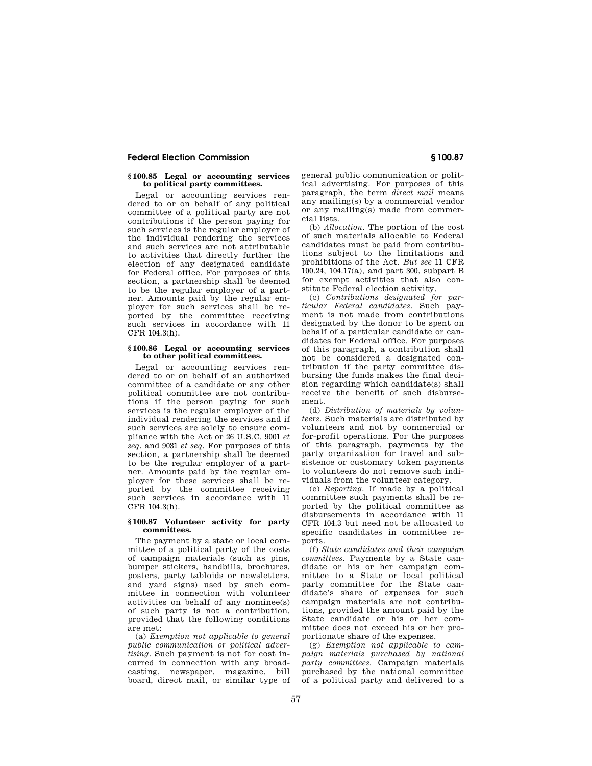#### **§ 100.85 Legal or accounting services to political party committees.**

Legal or accounting services rendered to or on behalf of any political committee of a political party are not contributions if the person paying for such services is the regular employer of the individual rendering the services and such services are not attributable to activities that directly further the election of any designated candidate for Federal office. For purposes of this section, a partnership shall be deemed to be the regular employer of a partner. Amounts paid by the regular employer for such services shall be reported by the committee receiving such services in accordance with 11 CFR 104.3(h).

#### **§ 100.86 Legal or accounting services to other political committees.**

Legal or accounting services rendered to or on behalf of an authorized committee of a candidate or any other political committee are not contributions if the person paying for such services is the regular employer of the individual rendering the services and if such services are solely to ensure compliance with the Act or 26 U.S.C. 9001 *et seq.* and 9031 *et seq.* For purposes of this section, a partnership shall be deemed to be the regular employer of a partner. Amounts paid by the regular employer for these services shall be reported by the committee receiving such services in accordance with 11 CFR 104.3(h).

### **§ 100.87 Volunteer activity for party committees.**

The payment by a state or local committee of a political party of the costs of campaign materials (such as pins, bumper stickers, handbills, brochures, posters, party tabloids or newsletters, and yard signs) used by such committee in connection with volunteer activities on behalf of any nominee(s) of such party is not a contribution, provided that the following conditions are met:

(a) *Exemption not applicable to general public communication or political advertising.* Such payment is not for cost incurred in connection with any broadcasting, newspaper, magazine, bill board, direct mail, or similar type of

general public communication or political advertising. For purposes of this paragraph, the term *direct mail* means any mailing(s) by a commercial vendor or any mailing(s) made from commercial lists.

(b) *Allocation.* The portion of the cost of such materials allocable to Federal candidates must be paid from contributions subject to the limitations and prohibitions of the Act. *But see* 11 CFR 100.24, 104.17(a), and part 300, subpart B for exempt activities that also constitute Federal election activity.

(c) *Contributions designated for particular Federal candidates.* Such payment is not made from contributions designated by the donor to be spent on behalf of a particular candidate or candidates for Federal office. For purposes of this paragraph, a contribution shall not be considered a designated contribution if the party committee disbursing the funds makes the final decision regarding which candidate(s) shall receive the benefit of such disbursement.

(d) *Distribution of materials by volunteers.* Such materials are distributed by volunteers and not by commercial or for-profit operations. For the purposes of this paragraph, payments by the party organization for travel and subsistence or customary token payments to volunteers do not remove such individuals from the volunteer category.

(e) *Reporting.* If made by a political committee such payments shall be reported by the political committee as disbursements in accordance with 11 CFR 104.3 but need not be allocated to specific candidates in committee reports.

(f) *State candidates and their campaign committees.* Payments by a State candidate or his or her campaign committee to a State or local political party committee for the State candidate's share of expenses for such campaign materials are not contributions, provided the amount paid by the State candidate or his or her committee does not exceed his or her proportionate share of the expenses.

(g) *Exemption not applicable to campaign materials purchased by national party committees.* Campaign materials purchased by the national committee of a political party and delivered to a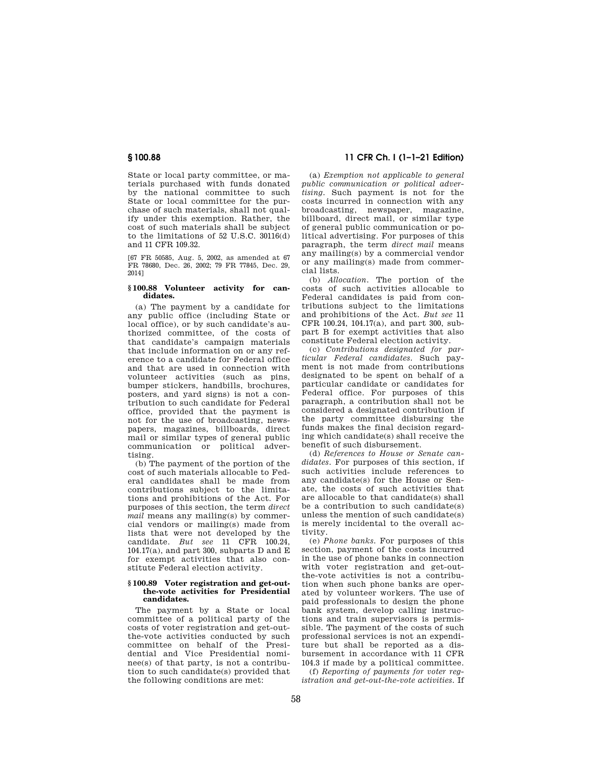State or local party committee, or materials purchased with funds donated by the national committee to such State or local committee for the purchase of such materials, shall not qualify under this exemption. Rather, the cost of such materials shall be subject to the limitations of 52 U.S.C. 30116(d) and 11 CFR 109.32.

[67 FR 50585, Aug. 5, 2002, as amended at 67 FR 78680, Dec. 26, 2002; 79 FR 77845, Dec. 29, 2014]

#### **§ 100.88 Volunteer activity for candidates.**

(a) The payment by a candidate for any public office (including State or local office), or by such candidate's authorized committee, of the costs of that candidate's campaign materials that include information on or any reference to a candidate for Federal office and that are used in connection with volunteer activities (such as pins, bumper stickers, handbills, brochures, posters, and yard signs) is not a contribution to such candidate for Federal office, provided that the payment is not for the use of broadcasting, newspapers, magazines, billboards, direct mail or similar types of general public communication or political advertising.

(b) The payment of the portion of the cost of such materials allocable to Federal candidates shall be made from contributions subject to the limitations and prohibitions of the Act. For purposes of this section, the term *direct mail* means any mailing(s) by commercial vendors or mailing(s) made from lists that were not developed by the candidate. *But see* 11 CFR 100.24,  $104.17(a)$ , and part 300, subparts D and E for exempt activities that also constitute Federal election activity.

#### **§ 100.89 Voter registration and get-outthe-vote activities for Presidential candidates.**

The payment by a State or local committee of a political party of the costs of voter registration and get-outthe-vote activities conducted by such committee on behalf of the Presidential and Vice Presidential nominee(s) of that party, is not a contribution to such candidate(s) provided that the following conditions are met:

# **§ 100.88 11 CFR Ch. I (1–1–21 Edition)**

(a) *Exemption not applicable to general public communication or political advertising.* Such payment is not for the costs incurred in connection with any broadcasting, newspaper, magazine, billboard, direct mail, or similar type of general public communication or political advertising. For purposes of this paragraph, the term *direct mail* means any mailing(s) by a commercial vendor or any mailing(s) made from commercial lists.

(b) *Allocation.* The portion of the costs of such activities allocable to Federal candidates is paid from contributions subject to the limitations and prohibitions of the Act. *But see* 11 CFR 100.24, 104.17(a), and part 300, subpart B for exempt activities that also constitute Federal election activity.

(c) *Contributions designated for particular Federal candidates.* Such payment is not made from contributions designated to be spent on behalf of a particular candidate or candidates for Federal office. For purposes of this paragraph, a contribution shall not be considered a designated contribution if the party committee disbursing the funds makes the final decision regarding which candidate(s) shall receive the benefit of such disbursement.

(d) *References to House or Senate candidates.* For purposes of this section, if such activities include references to any candidate(s) for the House or Senate, the costs of such activities that are allocable to that candidate(s) shall be a contribution to such candidate(s) unless the mention of such candidate(s) is merely incidental to the overall activity.

(e) *Phone banks.* For purposes of this section, payment of the costs incurred in the use of phone banks in connection with voter registration and get-outthe-vote activities is not a contribution when such phone banks are operated by volunteer workers. The use of paid professionals to design the phone bank system, develop calling instructions and train supervisors is permissible. The payment of the costs of such professional services is not an expenditure but shall be reported as a disbursement in accordance with 11 CFR 104.3 if made by a political committee.

(f) *Reporting of payments for voter registration and get-out-the-vote activities.* If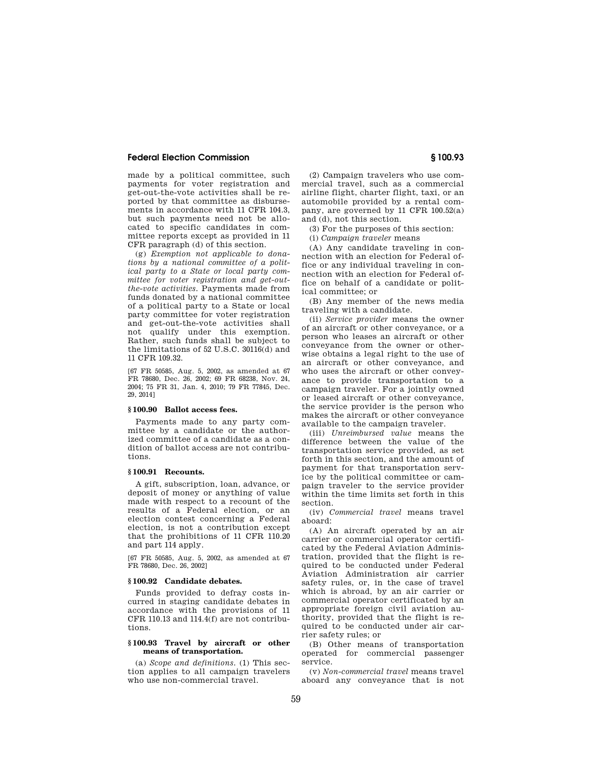made by a political committee, such payments for voter registration and get-out-the-vote activities shall be reported by that committee as disbursements in accordance with 11 CFR 104.3, but such payments need not be allocated to specific candidates in committee reports except as provided in 11 CFR paragraph (d) of this section.

(g) *Exemption not applicable to donations by a national committee of a political party to a State or local party committee for voter registration and get-outthe-vote activities.* Payments made from funds donated by a national committee of a political party to a State or local party committee for voter registration and get-out-the-vote activities shall not qualify under this exemption. Rather, such funds shall be subject to the limitations of 52 U.S.C. 30116(d) and 11 CFR 109.32.

[67 FR 50585, Aug. 5, 2002, as amended at 67 FR 78680, Dec. 26, 2002; 69 FR 68238, Nov. 24, 2004; 75 FR 31, Jan. 4, 2010; 79 FR 77845, Dec. 29, 2014]

## **§ 100.90 Ballot access fees.**

Payments made to any party committee by a candidate or the authorized committee of a candidate as a condition of ballot access are not contributions.

## **§ 100.91 Recounts.**

A gift, subscription, loan, advance, or deposit of money or anything of value made with respect to a recount of the results of a Federal election, or an election contest concerning a Federal election, is not a contribution except that the prohibitions of 11 CFR 110.20 and part 114 apply.

[67 FR 50585, Aug. 5, 2002, as amended at 67 FR 78680, Dec. 26, 2002]

#### **§ 100.92 Candidate debates.**

Funds provided to defray costs incurred in staging candidate debates in accordance with the provisions of 11 CFR 110.13 and 114.4(f) are not contributions.

#### **§ 100.93 Travel by aircraft or other means of transportation.**

(a) *Scope and definitions.* (1) This section applies to all campaign travelers who use non-commercial travel.

(2) Campaign travelers who use commercial travel, such as a commercial airline flight, charter flight, taxi, or an automobile provided by a rental company, are governed by 11 CFR 100.52(a) and (d), not this section.

(3) For the purposes of this section:

(i) *Campaign traveler* means

(A) Any candidate traveling in connection with an election for Federal office or any individual traveling in connection with an election for Federal office on behalf of a candidate or political committee; or

(B) Any member of the news media traveling with a candidate.

(ii) *Service provider* means the owner of an aircraft or other conveyance, or a person who leases an aircraft or other conveyance from the owner or otherwise obtains a legal right to the use of an aircraft or other conveyance, and who uses the aircraft or other conveyance to provide transportation to a campaign traveler. For a jointly owned or leased aircraft or other conveyance, the service provider is the person who makes the aircraft or other conveyance available to the campaign traveler.

(iii) *Unreimbursed value* means the difference between the value of the transportation service provided, as set forth in this section, and the amount of payment for that transportation service by the political committee or campaign traveler to the service provider within the time limits set forth in this section.

(iv) *Commercial travel* means travel aboard:

(A) An aircraft operated by an air carrier or commercial operator certificated by the Federal Aviation Administration, provided that the flight is required to be conducted under Federal Aviation Administration air carrier safety rules, or, in the case of travel which is abroad, by an air carrier or commercial operator certificated by an appropriate foreign civil aviation authority, provided that the flight is required to be conducted under air carrier safety rules; or

(B) Other means of transportation operated for commercial passenger service.

(v) *Non-commercial travel* means travel aboard any conveyance that is not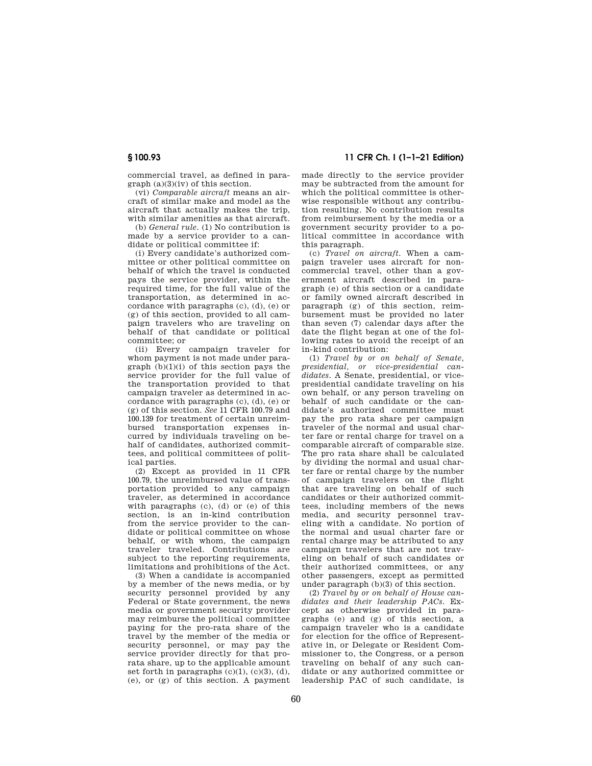commercial travel, as defined in paragraph (a)(3)(iv) of this section.

(vi) *Comparable aircraft* means an aircraft of similar make and model as the aircraft that actually makes the trip, with similar amenities as that aircraft.

(b) *General rule.* (1) No contribution is made by a service provider to a candidate or political committee if:

(i) Every candidate's authorized committee or other political committee on behalf of which the travel is conducted pays the service provider, within the required time, for the full value of the transportation, as determined in accordance with paragraphs (c), (d), (e) or (g) of this section, provided to all campaign travelers who are traveling on behalf of that candidate or political committee; or

(ii) Every campaign traveler for whom payment is not made under paragraph  $(b)(1)(i)$  of this section pays the service provider for the full value of the transportation provided to that campaign traveler as determined in accordance with paragraphs (c), (d), (e) or (g) of this section. *See* 11 CFR 100.79 and 100.139 for treatment of certain unreimbursed transportation expenses incurred by individuals traveling on behalf of candidates, authorized committees, and political committees of political parties.

(2) Except as provided in 11 CFR 100.79, the unreimbursed value of transportation provided to any campaign traveler, as determined in accordance with paragraphs (c), (d) or (e) of this section, is an in-kind contribution from the service provider to the candidate or political committee on whose behalf, or with whom, the campaign traveler traveled. Contributions are subject to the reporting requirements, limitations and prohibitions of the Act.

(3) When a candidate is accompanied by a member of the news media, or by security personnel provided by any Federal or State government, the news media or government security provider may reimburse the political committee paying for the pro-rata share of the travel by the member of the media or security personnel, or may pay the service provider directly for that prorata share, up to the applicable amount set forth in paragraphs  $(c)(1)$ ,  $(c)(3)$ ,  $(d)$ , (e), or (g) of this section. A payment

**§ 100.93 11 CFR Ch. I (1–1–21 Edition)** 

made directly to the service provider may be subtracted from the amount for which the political committee is otherwise responsible without any contribution resulting. No contribution results from reimbursement by the media or a government security provider to a political committee in accordance with this paragraph.

(c) *Travel on aircraft.* When a campaign traveler uses aircraft for noncommercial travel, other than a government aircraft described in paragraph (e) of this section or a candidate or family owned aircraft described in paragraph (g) of this section, reimbursement must be provided no later than seven (7) calendar days after the date the flight began at one of the following rates to avoid the receipt of an in-kind contribution:

(1) *Travel by or on behalf of Senate, presidential, or vice-presidential candidates.* A Senate, presidential, or vicepresidential candidate traveling on his own behalf, or any person traveling on behalf of such candidate or the candidate's authorized committee must pay the pro rata share per campaign traveler of the normal and usual charter fare or rental charge for travel on a comparable aircraft of comparable size. The pro rata share shall be calculated by dividing the normal and usual charter fare or rental charge by the number of campaign travelers on the flight that are traveling on behalf of such candidates or their authorized committees, including members of the news media, and security personnel traveling with a candidate. No portion of the normal and usual charter fare or rental charge may be attributed to any campaign travelers that are not traveling on behalf of such candidates or their authorized committees, or any other passengers, except as permitted under paragraph (b)(3) of this section.

(2) *Travel by or on behalf of House candidates and their leadership PACs.* Except as otherwise provided in paragraphs (e) and (g) of this section, a campaign traveler who is a candidate for election for the office of Representative in, or Delegate or Resident Commissioner to, the Congress, or a person traveling on behalf of any such candidate or any authorized committee or leadership PAC of such candidate, is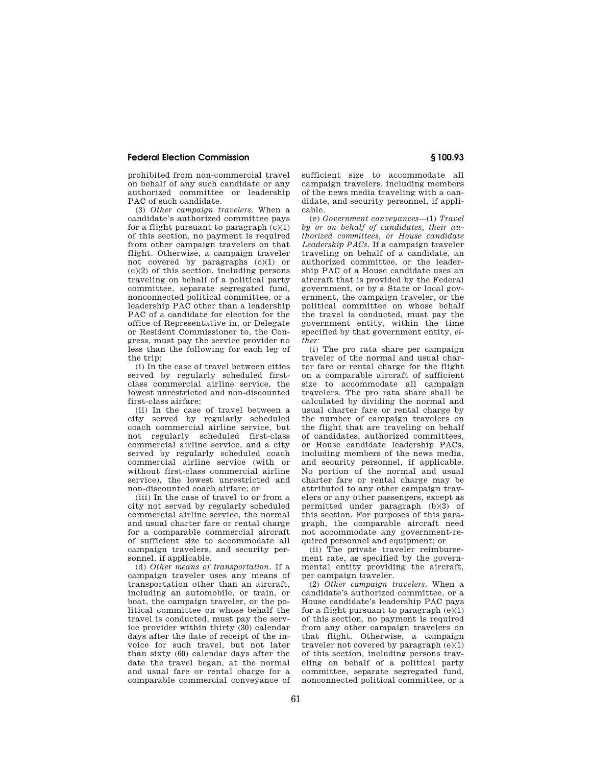prohibited from non-commercial travel on behalf of any such candidate or any authorized committee or leadership PAC of such candidate.

(3) *Other campaign travelers.* When a candidate's authorized committee pays for a flight pursuant to paragraph  $(c)(1)$ of this section, no payment is required from other campaign travelers on that flight. Otherwise, a campaign traveler not covered by paragraphs (c)(1) or  $(c)(2)$  of this section, including persons traveling on behalf of a political party committee, separate segregated fund, nonconnected political committee, or a leadership PAC other than a leadership PAC of a candidate for election for the office of Representative in, or Delegate or Resident Commissioner to, the Congress, must pay the service provider no less than the following for each leg of the trip:

(i) In the case of travel between cities served by regularly scheduled firstclass commercial airline service, the lowest unrestricted and non-discounted first-class airfare;

(ii) In the case of travel between a city served by regularly scheduled coach commercial airline service, but not regularly scheduled first-class commercial airline service, and a city served by regularly scheduled coach commercial airline service (with or without first-class commercial airline service), the lowest unrestricted and non-discounted coach airfare; or

(iii) In the case of travel to or from a city not served by regularly scheduled commercial airline service, the normal and usual charter fare or rental charge for a comparable commercial aircraft of sufficient size to accommodate all campaign travelers, and security personnel, if applicable.

(d) *Other means of transportation.* If a campaign traveler uses any means of transportation other than an aircraft, including an automobile, or train, or boat, the campaign traveler, or the political committee on whose behalf the travel is conducted, must pay the service provider within thirty (30) calendar days after the date of receipt of the invoice for such travel, but not later than sixty (60) calendar days after the date the travel began, at the normal and usual fare or rental charge for a comparable commercial conveyance of sufficient size to accommodate all campaign travelers, including members of the news media traveling with a candidate, and security personnel, if applicable.

(e) *Government conveyances*—(1) *Travel by or on behalf of candidates, their authorized committees, or House candidate Leadership PACs.* If a campaign traveler traveling on behalf of a candidate, an authorized committee, or the leadership PAC of a House candidate uses an aircraft that is provided by the Federal government, or by a State or local government, the campaign traveler, or the political committee on whose behalf the travel is conducted, must pay the government entity, within the time specified by that government entity, *either:* 

(i) The pro rata share per campaign traveler of the normal and usual charter fare or rental charge for the flight on a comparable aircraft of sufficient size to accommodate all campaign travelers. The pro rata share shall be calculated by dividing the normal and usual charter fare or rental charge by the number of campaign travelers on the flight that are traveling on behalf of candidates, authorized committees, or House candidate leadership PACs, including members of the news media, and security personnel, if applicable. No portion of the normal and usual charter fare or rental charge may be attributed to any other campaign travelers or any other passengers, except as permitted under paragraph (b)(3) of this section. For purposes of this paragraph, the comparable aircraft need not accommodate any government-required personnel and equipment; or

(ii) The private traveler reimbursement rate, as specified by the governmental entity providing the aircraft, per campaign traveler.

(2) *Other campaign travelers.* When a candidate's authorized committee, or a House candidate's leadership PAC pays for a flight pursuant to paragraph  $(e)(1)$ of this section, no payment is required from any other campaign travelers on that flight. Otherwise, a campaign traveler not covered by paragraph (e)(1) of this section, including persons traveling on behalf of a political party committee, separate segregated fund, nonconnected political committee, or a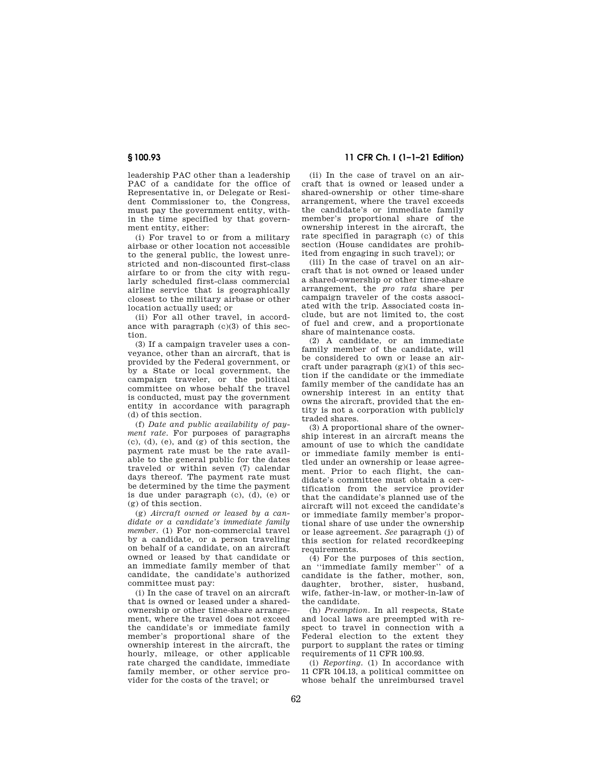leadership PAC other than a leadership PAC of a candidate for the office of Representative in, or Delegate or Resident Commissioner to, the Congress, must pay the government entity, within the time specified by that government entity, either:

(i) For travel to or from a military airbase or other location not accessible to the general public, the lowest unrestricted and non-discounted first-class airfare to or from the city with regularly scheduled first-class commercial airline service that is geographically closest to the military airbase or other location actually used; or

(ii) For all other travel, in accordance with paragraph  $(c)(3)$  of this section.

(3) If a campaign traveler uses a conveyance, other than an aircraft, that is provided by the Federal government, or by a State or local government, the campaign traveler, or the political committee on whose behalf the travel is conducted, must pay the government entity in accordance with paragraph (d) of this section.

(f) *Date and public availability of payment rate.* For purposes of paragraphs (c), (d), (e), and (g) of this section, the payment rate must be the rate available to the general public for the dates traveled or within seven (7) calendar days thereof. The payment rate must be determined by the time the payment is due under paragraph (c), (d), (e) or (g) of this section.

(g) *Aircraft owned or leased by a candidate or a candidate's immediate family member.* (1) For non-commercial travel by a candidate, or a person traveling on behalf of a candidate, on an aircraft owned or leased by that candidate or an immediate family member of that candidate, the candidate's authorized committee must pay:

(i) In the case of travel on an aircraft that is owned or leased under a sharedownership or other time-share arrangement, where the travel does not exceed the candidate's or immediate family member's proportional share of the ownership interest in the aircraft, the hourly, mileage, or other applicable rate charged the candidate, immediate family member, or other service provider for the costs of the travel; or

# **§ 100.93 11 CFR Ch. I (1–1–21 Edition)**

(ii) In the case of travel on an aircraft that is owned or leased under a shared-ownership or other time-share arrangement, where the travel exceeds the candidate's or immediate family member's proportional share of the ownership interest in the aircraft, the rate specified in paragraph (c) of this section (House candidates are prohibited from engaging in such travel); or

(iii) In the case of travel on an aircraft that is not owned or leased under a shared-ownership or other time-share arrangement, the *pro rata* share per campaign traveler of the costs associated with the trip. Associated costs include, but are not limited to, the cost of fuel and crew, and a proportionate share of maintenance costs.

(2) A candidate, or an immediate family member of the candidate, will be considered to own or lease an aircraft under paragraph  $(g)(1)$  of this section if the candidate or the immediate family member of the candidate has an ownership interest in an entity that owns the aircraft, provided that the entity is not a corporation with publicly traded shares.

(3) A proportional share of the ownership interest in an aircraft means the amount of use to which the candidate or immediate family member is entitled under an ownership or lease agreement. Prior to each flight, the candidate's committee must obtain a certification from the service provider that the candidate's planned use of the aircraft will not exceed the candidate's or immediate family member's proportional share of use under the ownership or lease agreement. *See* paragraph (j) of this section for related recordkeeping requirements.

(4) For the purposes of this section, an ''immediate family member'' of a candidate is the father, mother, son, daughter, brother, sister, husband, wife, father-in-law, or mother-in-law of the candidate.

(h) *Preemption.* In all respects, State and local laws are preempted with respect to travel in connection with a Federal election to the extent they purport to supplant the rates or timing requirements of 11 CFR 100.93.

(i) *Reporting.* (1) In accordance with 11 CFR 104.13, a political committee on whose behalf the unreimbursed travel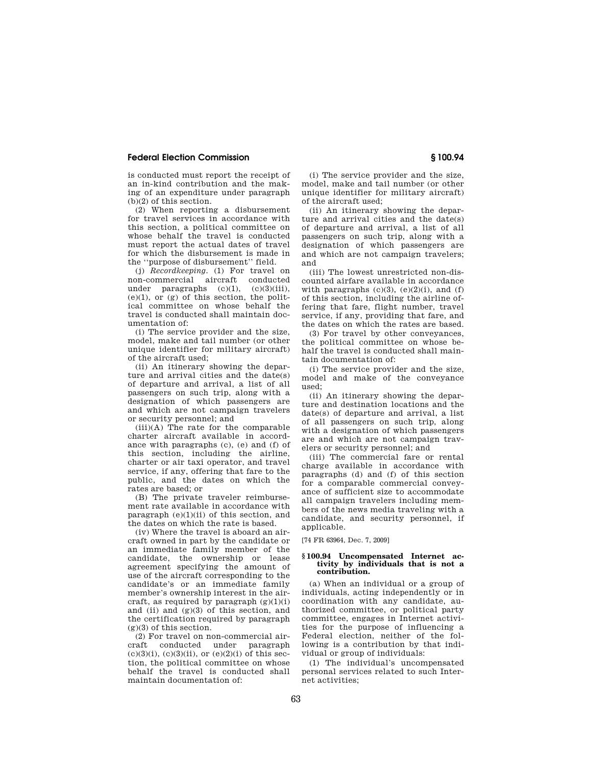is conducted must report the receipt of an in-kind contribution and the making of an expenditure under paragraph (b)(2) of this section.

(2) When reporting a disbursement for travel services in accordance with this section, a political committee on whose behalf the travel is conducted must report the actual dates of travel for which the disbursement is made in the ''purpose of disbursement'' field.

(j) *Recordkeeping.* (1) For travel on non-commercial aircraft conducted under paragraphs  $(c)(1)$ ,  $(c)(3)(iii)$ ,  $(e)(1)$ , or  $(e)$  of this section, the political committee on whose behalf the travel is conducted shall maintain documentation of:

(i) The service provider and the size, model, make and tail number (or other unique identifier for military aircraft) of the aircraft used;

(ii) An itinerary showing the departure and arrival cities and the date(s) of departure and arrival, a list of all passengers on such trip, along with a designation of which passengers are and which are not campaign travelers or security personnel; and

 $(iii)(A)$  The rate for the comparable charter aircraft available in accordance with paragraphs (c), (e) and (f) of this section, including the airline, charter or air taxi operator, and travel service, if any, offering that fare to the public, and the dates on which the rates are based; or

(B) The private traveler reimbursement rate available in accordance with paragraph  $(e)(1)(ii)$  of this section, and the dates on which the rate is based.

(iv) Where the travel is aboard an aircraft owned in part by the candidate or an immediate family member of the candidate, the ownership or lease agreement specifying the amount of use of the aircraft corresponding to the candidate's or an immediate family member's ownership interest in the aircraft, as required by paragraph  $(g)(1)(i)$ and (ii) and  $(g)(3)$  of this section, and the certification required by paragraph  $(g)(3)$  of this section.

(2) For travel on non-commercial aircraft conducted under paragraph  $(c)(3)(i)$ ,  $(c)(3)(ii)$ , or  $(e)(2)(i)$  of this section, the political committee on whose behalf the travel is conducted shall maintain documentation of:

(i) The service provider and the size, model, make and tail number (or other unique identifier for military aircraft) of the aircraft used;

(ii) An itinerary showing the departure and arrival cities and the date(s) of departure and arrival, a list of all passengers on such trip, along with a designation of which passengers are and which are not campaign travelers; and

(iii) The lowest unrestricted non-discounted airfare available in accordance with paragraphs  $(c)(3)$ ,  $(e)(2)(i)$ , and  $(f)$ of this section, including the airline offering that fare, flight number, travel service, if any, providing that fare, and the dates on which the rates are based.

(3) For travel by other conveyances, the political committee on whose behalf the travel is conducted shall maintain documentation of:

(i) The service provider and the size, model and make of the conveyance used;

(ii) An itinerary showing the departure and destination locations and the date(s) of departure and arrival, a list of all passengers on such trip, along with a designation of which passengers are and which are not campaign travelers or security personnel; and

(iii) The commercial fare or rental charge available in accordance with paragraphs (d) and (f) of this section for a comparable commercial conveyance of sufficient size to accommodate all campaign travelers including members of the news media traveling with a candidate, and security personnel, if applicable.

[74 FR 63964, Dec. 7, 2009]

#### **§ 100.94 Uncompensated Internet activity by individuals that is not a contribution.**

(a) When an individual or a group of individuals, acting independently or in coordination with any candidate, authorized committee, or political party committee, engages in Internet activities for the purpose of influencing a Federal election, neither of the following is a contribution by that individual or group of individuals:

(1) The individual's uncompensated personal services related to such Internet activities;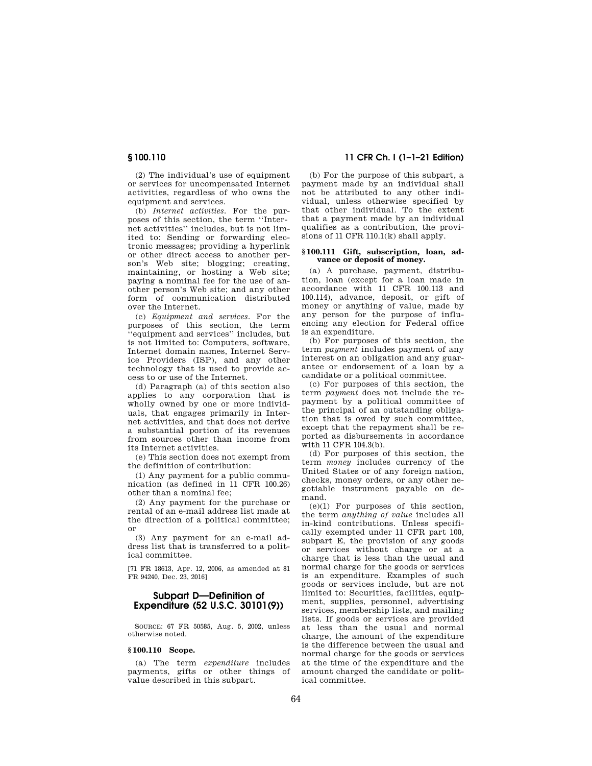(2) The individual's use of equipment or services for uncompensated Internet activities, regardless of who owns the equipment and services.

(b) *Internet activities.* For the purposes of this section, the term ''Internet activities'' includes, but is not limited to: Sending or forwarding electronic messages; providing a hyperlink or other direct access to another person's Web site; blogging; creating, maintaining, or hosting a Web site; paying a nominal fee for the use of another person's Web site; and any other form of communication distributed over the Internet.

(c) *Equipment and services.* For the purposes of this section, the term ''equipment and services'' includes, but is not limited to: Computers, software, Internet domain names, Internet Service Providers (ISP), and any other technology that is used to provide access to or use of the Internet.

(d) Paragraph (a) of this section also applies to any corporation that is wholly owned by one or more individuals, that engages primarily in Internet activities, and that does not derive a substantial portion of its revenues from sources other than income from its Internet activities.

(e) This section does not exempt from the definition of contribution:

(1) Any payment for a public communication (as defined in 11 CFR 100.26) other than a nominal fee;

(2) Any payment for the purchase or rental of an e-mail address list made at the direction of a political committee; or

(3) Any payment for an e-mail address list that is transferred to a political committee.

[71 FR 18613, Apr. 12, 2006, as amended at 81 FR 94240, Dec. 23, 2016]

# **Subpart D—Definition of Expenditure (52 U.S.C. 30101(9))**

SOURCE: 67 FR 50585, Aug. 5, 2002, unless otherwise noted.

#### **§ 100.110 Scope.**

(a) The term *expenditure* includes payments, gifts or other things of value described in this subpart.

# **§ 100.110 11 CFR Ch. I (1–1–21 Edition)**

(b) For the purpose of this subpart, a payment made by an individual shall not be attributed to any other individual, unless otherwise specified by that other individual. To the extent that a payment made by an individual qualifies as a contribution, the provisions of 11 CFR 110.1(k) shall apply.

#### **§ 100.111 Gift, subscription, loan, advance or deposit of money.**

(a) A purchase, payment, distribution, loan (except for a loan made in accordance with 11 CFR 100.113 and 100.114), advance, deposit, or gift of money or anything of value, made by any person for the purpose of influencing any election for Federal office is an expenditure.

(b) For purposes of this section, the term *payment* includes payment of any interest on an obligation and any guarantee or endorsement of a loan by a candidate or a political committee.

(c) For purposes of this section, the term *payment* does not include the repayment by a political committee of the principal of an outstanding obligation that is owed by such committee, except that the repayment shall be reported as disbursements in accordance with 11 CFR 104.3(b).

(d) For purposes of this section, the term *money* includes currency of the United States or of any foreign nation, checks, money orders, or any other negotiable instrument payable on demand.

 $(e)(1)$  For purposes of this section, the term *anything of value* includes all in-kind contributions. Unless specifically exempted under 11 CFR part 100, subpart E, the provision of any goods or services without charge or at a charge that is less than the usual and normal charge for the goods or services is an expenditure. Examples of such goods or services include, but are not limited to: Securities, facilities, equipment, supplies, personnel, advertising services, membership lists, and mailing lists. If goods or services are provided at less than the usual and normal charge, the amount of the expenditure is the difference between the usual and normal charge for the goods or services at the time of the expenditure and the amount charged the candidate or political committee.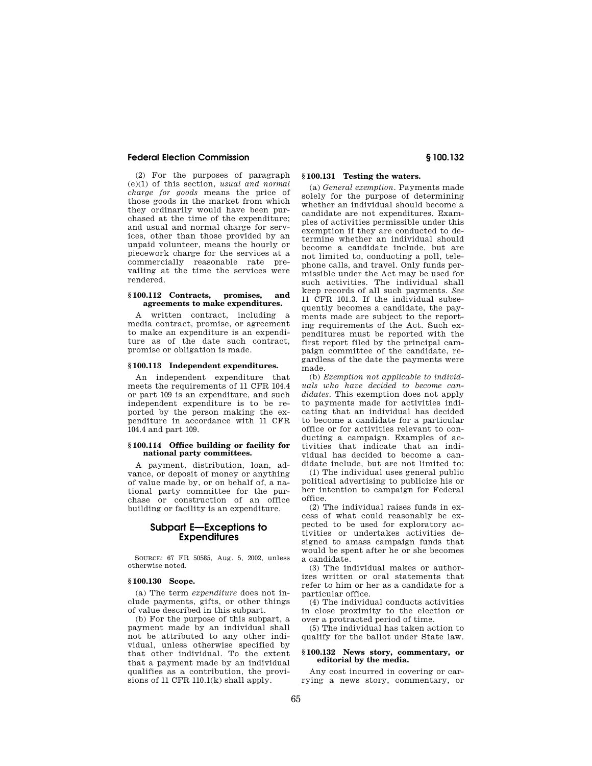(2) For the purposes of paragraph (e)(1) of this section, *usual and normal charge for goods* means the price of those goods in the market from which they ordinarily would have been purchased at the time of the expenditure; and usual and normal charge for services, other than those provided by an unpaid volunteer, means the hourly or piecework charge for the services at a commercially reasonable rate prevailing at the time the services were rendered.

#### **§ 100.112 Contracts, promises, and agreements to make expenditures.**

A written contract, including a media contract, promise, or agreement to make an expenditure is an expenditure as of the date such contract, promise or obligation is made.

## **§ 100.113 Independent expenditures.**

An independent expenditure that meets the requirements of 11 CFR 104.4 or part 109 is an expenditure, and such independent expenditure is to be reported by the person making the expenditure in accordance with 11 CFR 104.4 and part 109.

## **§ 100.114 Office building or facility for national party committees.**

A payment, distribution, loan, advance, or deposit of money or anything of value made by, or on behalf of, a national party committee for the purchase or construction of an office building or facility is an expenditure.

## **Subpart E—Exceptions to Expenditures**

SOURCE: 67 FR 50585, Aug. 5, 2002, unless otherwise noted.

#### **§ 100.130 Scope.**

(a) The term *expenditure* does not include payments, gifts, or other things of value described in this subpart.

(b) For the purpose of this subpart, a payment made by an individual shall not be attributed to any other individual, unless otherwise specified by that other individual. To the extent that a payment made by an individual qualifies as a contribution, the provisions of 11 CFR 110.1 $(k)$  shall apply.

## **§ 100.131 Testing the waters.**

(a) *General exemption.* Payments made solely for the purpose of determining whether an individual should become a candidate are not expenditures. Examples of activities permissible under this exemption if they are conducted to determine whether an individual should become a candidate include, but are not limited to, conducting a poll, telephone calls, and travel. Only funds permissible under the Act may be used for such activities. The individual shall keep records of all such payments. *See*  11 CFR 101.3. If the individual subsequently becomes a candidate, the payments made are subject to the reporting requirements of the Act. Such expenditures must be reported with the first report filed by the principal campaign committee of the candidate, regardless of the date the payments were made.

(b) *Exemption not applicable to individuals who have decided to become candidates.* This exemption does not apply to payments made for activities indicating that an individual has decided to become a candidate for a particular office or for activities relevant to conducting a campaign. Examples of activities that indicate that an individual has decided to become a candidate include, but are not limited to:

(1) The individual uses general public political advertising to publicize his or her intention to campaign for Federal office.

(2) The individual raises funds in excess of what could reasonably be expected to be used for exploratory activities or undertakes activities designed to amass campaign funds that would be spent after he or she becomes a candidate.

(3) The individual makes or authorizes written or oral statements that refer to him or her as a candidate for a particular office.

(4) The individual conducts activities in close proximity to the election or over a protracted period of time.

(5) The individual has taken action to qualify for the ballot under State law.

## **§ 100.132 News story, commentary, or editorial by the media.**

Any cost incurred in covering or carrying a news story, commentary, or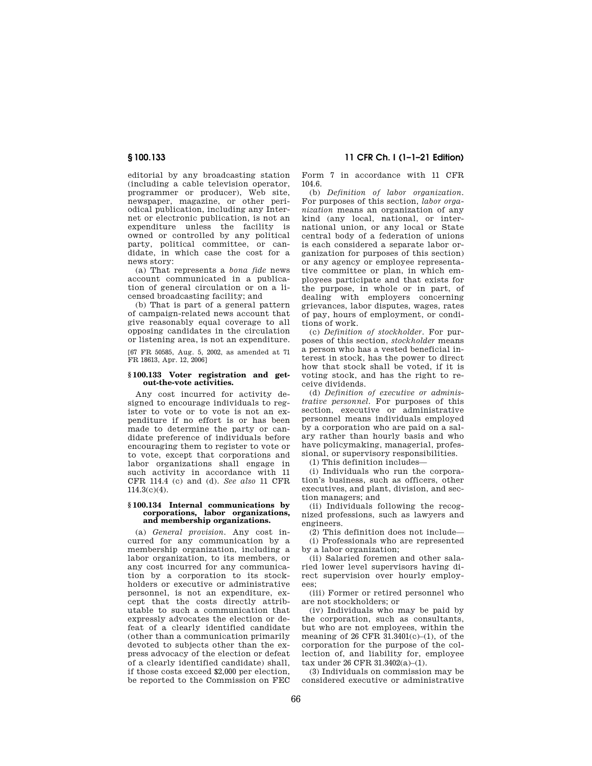editorial by any broadcasting station (including a cable television operator, programmer or producer), Web site, newspaper, magazine, or other periodical publication, including any Internet or electronic publication, is not an expenditure unless the facility is owned or controlled by any political party, political committee, or candidate, in which case the cost for a news story:

(a) That represents a *bona fide* news account communicated in a publication of general circulation or on a licensed broadcasting facility; and

(b) That is part of a general pattern of campaign-related news account that give reasonably equal coverage to all opposing candidates in the circulation or listening area, is not an expenditure.

[67 FR 50585, Aug. 5, 2002, as amended at 71 FR 18613, Apr. 12, 2006]

#### **§ 100.133 Voter registration and getout-the-vote activities.**

Any cost incurred for activity designed to encourage individuals to register to vote or to vote is not an expenditure if no effort is or has been made to determine the party or candidate preference of individuals before encouraging them to register to vote or to vote, except that corporations and labor organizations shall engage in such activity in accordance with 11 CFR 114.4 (c) and (d). *See also* 11 CFR 114.3(c)(4).

#### **§ 100.134 Internal communications by corporations, labor organizations, and membership organizations.**

(a) *General provision.* Any cost incurred for any communication by a membership organization, including a labor organization, to its members, or any cost incurred for any communication by a corporation to its stockholders or executive or administrative personnel, is not an expenditure, except that the costs directly attributable to such a communication that expressly advocates the election or defeat of a clearly identified candidate (other than a communication primarily devoted to subjects other than the express advocacy of the election or defeat of a clearly identified candidate) shall, if those costs exceed \$2,000 per election, be reported to the Commission on FEC

**§ 100.133 11 CFR Ch. I (1–1–21 Edition)** 

Form 7 in accordance with 11 CFR 104.6.

(b) *Definition of labor organization.*  For purposes of this section, *labor organization* means an organization of any kind (any local, national, or international union, or any local or State central body of a federation of unions is each considered a separate labor organization for purposes of this section) or any agency or employee representative committee or plan, in which employees participate and that exists for the purpose, in whole or in part, of dealing with employers concerning grievances, labor disputes, wages, rates of pay, hours of employment, or conditions of work.

(c) *Definition of stockholder.* For purposes of this section, *stockholder* means a person who has a vested beneficial interest in stock, has the power to direct how that stock shall be voted, if it is voting stock, and has the right to receive dividends.

(d) *Definition of executive or administrative personnel.* For purposes of this section, executive or administrative personnel means individuals employed by a corporation who are paid on a salary rather than hourly basis and who have policymaking, managerial, professional, or supervisory responsibilities.

(1) This definition includes—

(i) Individuals who run the corporation's business, such as officers, other executives, and plant, division, and section managers; and

(ii) Individuals following the recognized professions, such as lawyers and engineers.

(2) This definition does not include— (i) Professionals who are represented by a labor organization;

(ii) Salaried foremen and other salaried lower level supervisors having direct supervision over hourly employees;

(iii) Former or retired personnel who are not stockholders; or

(iv) Individuals who may be paid by the corporation, such as consultants, but who are not employees, within the meaning of 26 CFR  $31.3401(c)$ –(1), of the corporation for the purpose of the collection of, and liability for, employee tax under 26 CFR 31.3402(a)–(1).

(3) Individuals on commission may be considered executive or administrative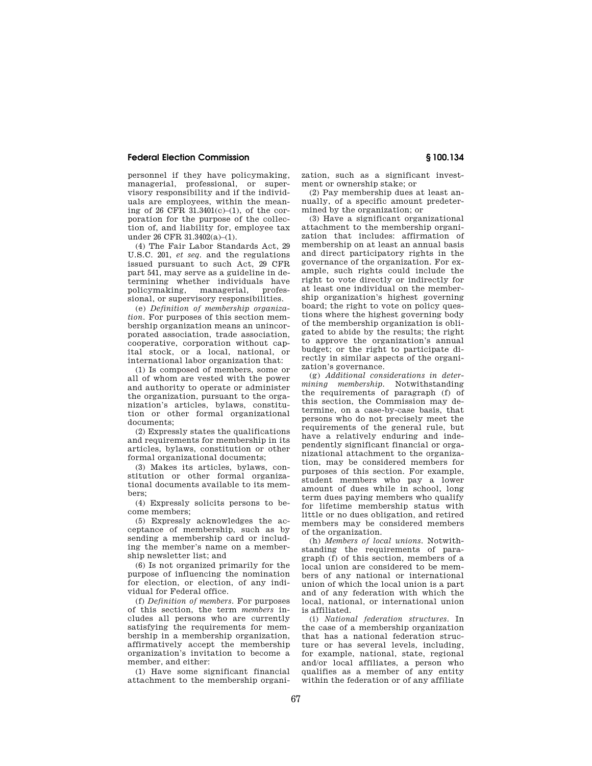personnel if they have policymaking, managerial, professional, or supervisory responsibility and if the individuals are employees, within the meaning of 26 CFR 31.3401(c)–(1), of the corporation for the purpose of the collection of, and liability for, employee tax under 26 CFR 31.3402(a)–(1).

(4) The Fair Labor Standards Act, 29 U.S.C. 201, *et seq.* and the regulations issued pursuant to such Act, 29 CFR part 541, may serve as a guideline in determining whether individuals have policymaking, managerial, professional, or supervisory responsibilities.

(e) *Definition of membership organization.* For purposes of this section membership organization means an unincorporated association, trade association, cooperative, corporation without capital stock, or a local, national, or international labor organization that:

(1) Is composed of members, some or all of whom are vested with the power and authority to operate or administer the organization, pursuant to the organization's articles, bylaws, constitution or other formal organizational documents;

(2) Expressly states the qualifications and requirements for membership in its articles, bylaws, constitution or other formal organizational documents;

(3) Makes its articles, bylaws, constitution or other formal organizational documents available to its members;

(4) Expressly solicits persons to become members;

(5) Expressly acknowledges the acceptance of membership, such as by sending a membership card or including the member's name on a membership newsletter list; and

(6) Is not organized primarily for the purpose of influencing the nomination for election, or election, of any individual for Federal office.

(f) *Definition of members.* For purposes of this section, the term *members* includes all persons who are currently satisfying the requirements for membership in a membership organization, affirmatively accept the membership organization's invitation to become a member, and either:

(1) Have some significant financial attachment to the membership organization, such as a significant investment or ownership stake; or

(2) Pay membership dues at least annually, of a specific amount predetermined by the organization; or

(3) Have a significant organizational attachment to the membership organization that includes: affirmation of membership on at least an annual basis and direct participatory rights in the governance of the organization. For example, such rights could include the right to vote directly or indirectly for at least one individual on the membership organization's highest governing board; the right to vote on policy questions where the highest governing body of the membership organization is obligated to abide by the results; the right to approve the organization's annual budget; or the right to participate directly in similar aspects of the organization's governance.

(g) *Additional considerations in determining membership.* Notwithstanding the requirements of paragraph (f) of this section, the Commission may determine, on a case-by-case basis, that persons who do not precisely meet the requirements of the general rule, but have a relatively enduring and independently significant financial or organizational attachment to the organization, may be considered members for purposes of this section. For example, student members who pay a lower amount of dues while in school, long term dues paying members who qualify for lifetime membership status with little or no dues obligation, and retired members may be considered members of the organization.

(h) *Members of local unions.* Notwithstanding the requirements of paragraph (f) of this section, members of a local union are considered to be members of any national or international union of which the local union is a part and of any federation with which the local, national, or international union is affiliated.

(i) *National federation structures.* In the case of a membership organization that has a national federation structure or has several levels, including, for example, national, state, regional and/or local affiliates, a person who qualifies as a member of any entity within the federation or of any affiliate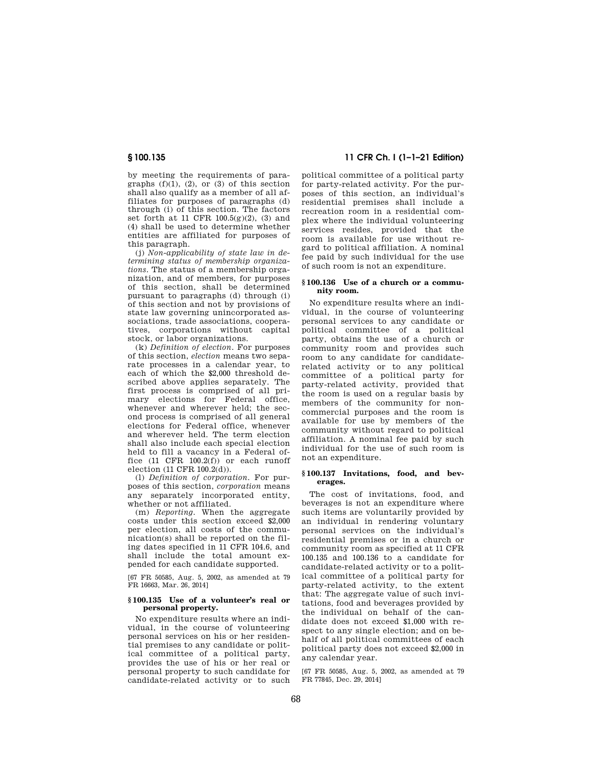by meeting the requirements of paragraphs  $(f)(1)$ ,  $(2)$ , or  $(3)$  of this section shall also qualify as a member of all affiliates for purposes of paragraphs (d) through (i) of this section. The factors set forth at 11 CFR 100.5(g)(2), (3) and (4) shall be used to determine whether entities are affiliated for purposes of this paragraph.

(j) *Non-applicability of state law in determining status of membership organizations.* The status of a membership organization, and of members, for purposes of this section, shall be determined pursuant to paragraphs (d) through (i) of this section and not by provisions of state law governing unincorporated associations, trade associations, cooperatives, corporations without capital stock, or labor organizations.

(k) *Definition of election.* For purposes of this section, *election* means two separate processes in a calendar year, to each of which the \$2,000 threshold described above applies separately. The first process is comprised of all primary elections for Federal office, whenever and wherever held; the second process is comprised of all general elections for Federal office, whenever and wherever held. The term election shall also include each special election held to fill a vacancy in a Federal office (11 CFR 100.2(f)) or each runoff election (11 CFR 100.2(d)).

(l) *Definition of corporation.* For purposes of this section, *corporation* means any separately incorporated entity, whether or not affiliated.

(m) *Reporting.* When the aggregate costs under this section exceed \$2,000 per election, all costs of the communication(s) shall be reported on the filing dates specified in 11 CFR 104.6, and shall include the total amount expended for each candidate supported.

[67 FR 50585, Aug. 5, 2002, as amended at 79 FR 16663, Mar. 26, 2014]

## **§ 100.135 Use of a volunteer's real or personal property.**

No expenditure results where an individual, in the course of volunteering personal services on his or her residential premises to any candidate or political committee of a political party, provides the use of his or her real or personal property to such candidate for candidate-related activity or to such

# **§ 100.135 11 CFR Ch. I (1–1–21 Edition)**

political committee of a political party for party-related activity. For the purposes of this section, an individual's residential premises shall include a recreation room in a residential complex where the individual volunteering services resides, provided that the room is available for use without regard to political affiliation. A nominal fee paid by such individual for the use of such room is not an expenditure.

## **§ 100.136 Use of a church or a community room.**

No expenditure results where an individual, in the course of volunteering personal services to any candidate or political committee of a political party, obtains the use of a church or community room and provides such room to any candidate for candidaterelated activity or to any political committee of a political party for party-related activity, provided that the room is used on a regular basis by members of the community for noncommercial purposes and the room is available for use by members of the community without regard to political affiliation. A nominal fee paid by such individual for the use of such room is not an expenditure.

#### **§ 100.137 Invitations, food, and beverages.**

The cost of invitations, food, and beverages is not an expenditure where such items are voluntarily provided by an individual in rendering voluntary personal services on the individual's residential premises or in a church or community room as specified at 11 CFR 100.135 and 100.136 to a candidate for candidate-related activity or to a political committee of a political party for party-related activity, to the extent that: The aggregate value of such invitations, food and beverages provided by the individual on behalf of the candidate does not exceed \$1,000 with respect to any single election; and on behalf of all political committees of each political party does not exceed \$2,000 in any calendar year.

[67 FR 50585, Aug. 5, 2002, as amended at 79 FR 77845, Dec. 29, 2014]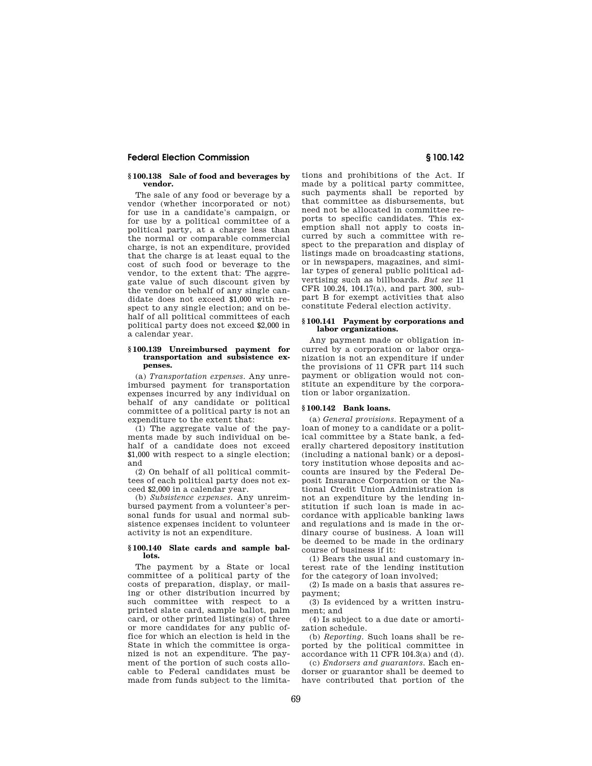#### **§ 100.138 Sale of food and beverages by vendor.**

The sale of any food or beverage by a vendor (whether incorporated or not) for use in a candidate's campaign, or for use by a political committee of a political party, at a charge less than the normal or comparable commercial charge, is not an expenditure, provided that the charge is at least equal to the cost of such food or beverage to the vendor, to the extent that: The aggregate value of such discount given by the vendor on behalf of any single candidate does not exceed \$1,000 with respect to any single election; and on behalf of all political committees of each political party does not exceed \$2,000 in a calendar year.

## **§ 100.139 Unreimbursed payment for transportation and subsistence expenses.**

(a) *Transportation expenses.* Any unreimbursed payment for transportation expenses incurred by any individual on behalf of any candidate or political committee of a political party is not an expenditure to the extent that:

(1) The aggregate value of the payments made by such individual on behalf of a candidate does not exceed \$1,000 with respect to a single election; and

(2) On behalf of all political committees of each political party does not exceed \$2,000 in a calendar year.

(b) *Subsistence expenses.* Any unreimbursed payment from a volunteer's personal funds for usual and normal subsistence expenses incident to volunteer activity is not an expenditure.

### **§ 100.140 Slate cards and sample ballots.**

The payment by a State or local committee of a political party of the costs of preparation, display, or mailing or other distribution incurred by such committee with respect to a printed slate card, sample ballot, palm card, or other printed listing(s) of three or more candidates for any public office for which an election is held in the State in which the committee is organized is not an expenditure. The payment of the portion of such costs allocable to Federal candidates must be made from funds subject to the limitations and prohibitions of the Act. If made by a political party committee, such payments shall be reported by that committee as disbursements, but need not be allocated in committee reports to specific candidates. This exemption shall not apply to costs incurred by such a committee with respect to the preparation and display of listings made on broadcasting stations, or in newspapers, magazines, and similar types of general public political advertising such as billboards. *But see* 11 CFR 100.24, 104.17(a), and part 300, subpart B for exempt activities that also constitute Federal election activity.

#### **§ 100.141 Payment by corporations and labor organizations.**

Any payment made or obligation incurred by a corporation or labor organization is not an expenditure if under the provisions of 11 CFR part 114 such payment or obligation would not constitute an expenditure by the corporation or labor organization.

## **§ 100.142 Bank loans.**

(a) *General provisions.* Repayment of a loan of money to a candidate or a political committee by a State bank, a federally chartered depository institution (including a national bank) or a depository institution whose deposits and accounts are insured by the Federal Deposit Insurance Corporation or the National Credit Union Administration is not an expenditure by the lending institution if such loan is made in accordance with applicable banking laws and regulations and is made in the ordinary course of business. A loan will be deemed to be made in the ordinary course of business if it:

(1) Bears the usual and customary interest rate of the lending institution for the category of loan involved;

(2) Is made on a basis that assures repayment;

(3) Is evidenced by a written instrument; and

(4) Is subject to a due date or amortization schedule.

(b) *Reporting.* Such loans shall be reported by the political committee in accordance with 11 CFR 104.3(a) and (d).

(c) *Endorsers and guarantors.* Each endorser or guarantor shall be deemed to have contributed that portion of the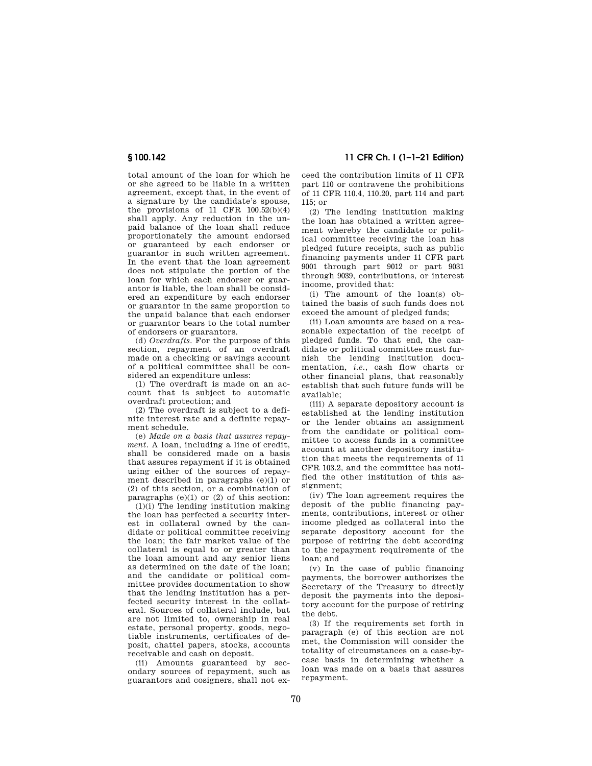total amount of the loan for which he or she agreed to be liable in a written agreement, except that, in the event of a signature by the candidate's spouse, the provisions of 11 CFR  $100.52(b)(4)$ shall apply. Any reduction in the unpaid balance of the loan shall reduce proportionately the amount endorsed or guaranteed by each endorser or guarantor in such written agreement. In the event that the loan agreement does not stipulate the portion of the loan for which each endorser or guarantor is liable, the loan shall be considered an expenditure by each endorser or guarantor in the same proportion to the unpaid balance that each endorser or guarantor bears to the total number of endorsers or guarantors.

(d) *Overdrafts.* For the purpose of this section, repayment of an overdraft made on a checking or savings account of a political committee shall be considered an expenditure unless:

(1) The overdraft is made on an account that is subject to automatic overdraft protection; and

(2) The overdraft is subject to a definite interest rate and a definite repayment schedule.

(e) *Made on a basis that assures repayment.* A loan, including a line of credit, shall be considered made on a basis that assures repayment if it is obtained using either of the sources of repayment described in paragraphs (e)(1) or (2) of this section, or a combination of paragraphs  $(e)(1)$  or  $(2)$  of this section:

(1)(i) The lending institution making the loan has perfected a security interest in collateral owned by the candidate or political committee receiving the loan; the fair market value of the collateral is equal to or greater than the loan amount and any senior liens as determined on the date of the loan; and the candidate or political committee provides documentation to show that the lending institution has a perfected security interest in the collateral. Sources of collateral include, but are not limited to, ownership in real estate, personal property, goods, negotiable instruments, certificates of deposit, chattel papers, stocks, accounts receivable and cash on deposit.

(ii) Amounts guaranteed by secondary sources of repayment, such as guarantors and cosigners, shall not ex-

**§ 100.142 11 CFR Ch. I (1–1–21 Edition)** 

ceed the contribution limits of 11 CFR part 110 or contravene the prohibitions of 11 CFR 110.4, 110.20, part 114 and part 115; or

(2) The lending institution making the loan has obtained a written agreement whereby the candidate or political committee receiving the loan has pledged future receipts, such as public financing payments under 11 CFR part 9001 through part 9012 or part 9031 through 9039, contributions, or interest income, provided that:

(i) The amount of the loan(s) obtained the basis of such funds does not exceed the amount of pledged funds;

(ii) Loan amounts are based on a reasonable expectation of the receipt of pledged funds. To that end, the candidate or political committee must furnish the lending institution documentation, *i.e.*, cash flow charts or other financial plans, that reasonably establish that such future funds will be available;

(iii) A separate depository account is established at the lending institution or the lender obtains an assignment from the candidate or political committee to access funds in a committee account at another depository institution that meets the requirements of 11 CFR 103.2, and the committee has notified the other institution of this assignment;

(iv) The loan agreement requires the deposit of the public financing payments, contributions, interest or other income pledged as collateral into the separate depository account for the purpose of retiring the debt according to the repayment requirements of the loan; and

(v) In the case of public financing payments, the borrower authorizes the Secretary of the Treasury to directly deposit the payments into the depository account for the purpose of retiring the debt.

(3) If the requirements set forth in paragraph (e) of this section are not met, the Commission will consider the totality of circumstances on a case-bycase basis in determining whether a loan was made on a basis that assures repayment.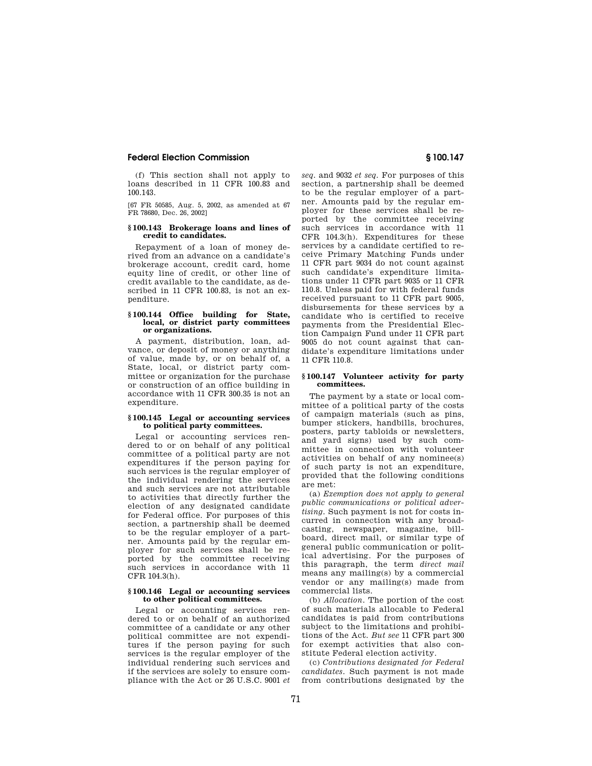(f) This section shall not apply to loans described in 11 CFR 100.83 and 100.143.

[67 FR 50585, Aug. 5, 2002, as amended at 67 FR 78680, Dec. 26, 2002]

## **§ 100.143 Brokerage loans and lines of credit to candidates.**

Repayment of a loan of money derived from an advance on a candidate's brokerage account, credit card, home equity line of credit, or other line of credit available to the candidate, as described in 11 CFR 100.83, is not an expenditure.

#### **§ 100.144 Office building for State, local, or district party committees or organizations.**

A payment, distribution, loan, advance, or deposit of money or anything of value, made by, or on behalf of, a State, local, or district party committee or organization for the purchase or construction of an office building in accordance with 11 CFR 300.35 is not an expenditure

## **§ 100.145 Legal or accounting services to political party committees.**

Legal or accounting services rendered to or on behalf of any political committee of a political party are not expenditures if the person paying for such services is the regular employer of the individual rendering the services and such services are not attributable to activities that directly further the election of any designated candidate for Federal office. For purposes of this section, a partnership shall be deemed to be the regular employer of a partner. Amounts paid by the regular employer for such services shall be reported by the committee receiving such services in accordance with 11 CFR 104.3(h).

#### **§ 100.146 Legal or accounting services to other political committees.**

Legal or accounting services rendered to or on behalf of an authorized committee of a candidate or any other political committee are not expenditures if the person paying for such services is the regular employer of the individual rendering such services and if the services are solely to ensure compliance with the Act or 26 U.S.C. 9001 *et*  *seq.* and 9032 *et seq.* For purposes of this section, a partnership shall be deemed to be the regular employer of a partner. Amounts paid by the regular employer for these services shall be reported by the committee receiving such services in accordance with 11 CFR 104.3(h). Expenditures for these services by a candidate certified to receive Primary Matching Funds under 11 CFR part 9034 do not count against such candidate's expenditure limitations under 11 CFR part 9035 or 11 CFR 110.8. Unless paid for with federal funds received pursuant to 11 CFR part 9005, disbursements for these services by a candidate who is certified to receive payments from the Presidential Election Campaign Fund under 11 CFR part 9005 do not count against that candidate's expenditure limitations under 11 CFR 110.8.

## **§ 100.147 Volunteer activity for party committees.**

The payment by a state or local committee of a political party of the costs of campaign materials (such as pins, bumper stickers, handbills, brochures, posters, party tabloids or newsletters, and yard signs) used by such committee in connection with volunteer activities on behalf of any nominee(s) of such party is not an expenditure, provided that the following conditions are met:

(a) *Exemption does not apply to general public communications or political advertising.* Such payment is not for costs incurred in connection with any broadcasting, newspaper, magazine, billboard, direct mail, or similar type of general public communication or political advertising. For the purposes of this paragraph, the term *direct mail*  means any mailing(s) by a commercial vendor or any mailing(s) made from commercial lists.

(b) *Allocation.* The portion of the cost of such materials allocable to Federal candidates is paid from contributions subject to the limitations and prohibitions of the Act. *But see* 11 CFR part 300 for exempt activities that also constitute Federal election activity.

(c) *Contributions designated for Federal candidates.* Such payment is not made from contributions designated by the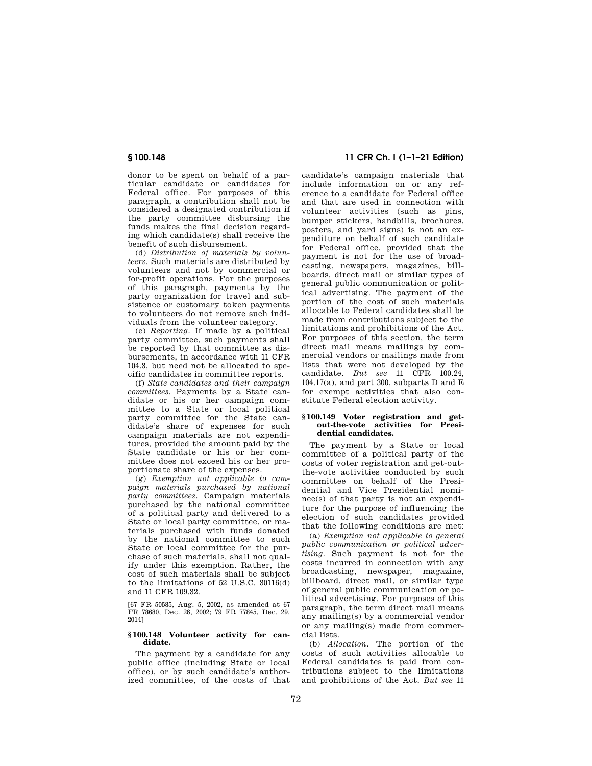donor to be spent on behalf of a particular candidate or candidates for Federal office. For purposes of this paragraph, a contribution shall not be considered a designated contribution if the party committee disbursing the funds makes the final decision regarding which candidate(s) shall receive the benefit of such disbursement.

(d) *Distribution of materials by volunteers.* Such materials are distributed by volunteers and not by commercial or for-profit operations. For the purposes of this paragraph, payments by the party organization for travel and subsistence or customary token payments to volunteers do not remove such individuals from the volunteer category.

(e) *Reporting.* If made by a political party committee, such payments shall be reported by that committee as disbursements, in accordance with 11 CFR 104.3, but need not be allocated to specific candidates in committee reports.

(f) *State candidates and their campaign committees.* Payments by a State candidate or his or her campaign committee to a State or local political party committee for the State candidate's share of expenses for such campaign materials are not expenditures, provided the amount paid by the State candidate or his or her committee does not exceed his or her proportionate share of the expenses.

(g) *Exemption not applicable to campaign materials purchased by national party committees.* Campaign materials purchased by the national committee of a political party and delivered to a State or local party committee, or materials purchased with funds donated by the national committee to such State or local committee for the purchase of such materials, shall not qualify under this exemption. Rather, the cost of such materials shall be subject to the limitations of 52 U.S.C. 30116(d) and 11 CFR 109.32.

[67 FR 50585, Aug. 5, 2002, as amended at 67 FR 78680, Dec. 26, 2002; 79 FR 77845, Dec. 29, 2014]

#### **§ 100.148 Volunteer activity for candidate.**

The payment by a candidate for any public office (including State or local office), or by such candidate's authorized committee, of the costs of that

# **§ 100.148 11 CFR Ch. I (1–1–21 Edition)**

candidate's campaign materials that include information on or any reference to a candidate for Federal office and that are used in connection with volunteer activities (such as pins, bumper stickers, handbills, brochures, posters, and yard signs) is not an expenditure on behalf of such candidate for Federal office, provided that the payment is not for the use of broadcasting, newspapers, magazines, billboards, direct mail or similar types of general public communication or political advertising. The payment of the portion of the cost of such materials allocable to Federal candidates shall be made from contributions subject to the limitations and prohibitions of the Act. For purposes of this section, the term direct mail means mailings by commercial vendors or mailings made from lists that were not developed by the candidate. *But see* 11 CFR 100.24,  $104.17(a)$ , and part 300, subparts D and E for exempt activities that also constitute Federal election activity.

#### **§ 100.149 Voter registration and getout-the-vote activities for Presidential candidates.**

The payment by a State or local committee of a political party of the costs of voter registration and get-outthe-vote activities conducted by such committee on behalf of the Presidential and Vice Presidential nominee(s) of that party is not an expenditure for the purpose of influencing the election of such candidates provided that the following conditions are met:

(a) *Exemption not applicable to general public communication or political advertising.* Such payment is not for the costs incurred in connection with any broadcasting, newspaper, magazine, billboard, direct mail, or similar type of general public communication or political advertising. For purposes of this paragraph, the term direct mail means any mailing(s) by a commercial vendor or any mailing(s) made from commercial lists.

(b) *Allocation.* The portion of the costs of such activities allocable to Federal candidates is paid from contributions subject to the limitations and prohibitions of the Act. *But see* 11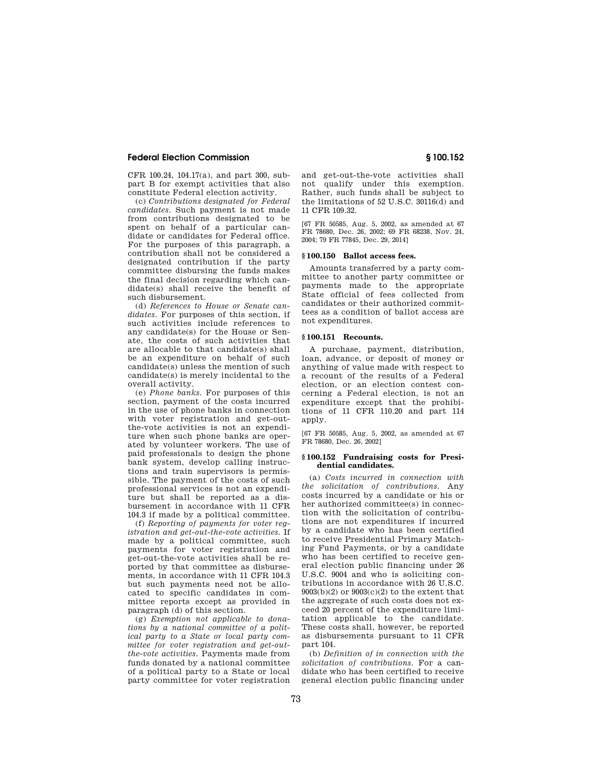CFR 100.24, 104.17(a), and part 300, subpart B for exempt activities that also constitute Federal election activity.

(c) *Contributions designated for Federal candidates.* Such payment is not made from contributions designated to be spent on behalf of a particular candidate or candidates for Federal office. For the purposes of this paragraph, a contribution shall not be considered a designated contribution if the party committee disbursing the funds makes the final decision regarding which candidate(s) shall receive the benefit of such disbursement.

(d) *References to House or Senate candidates.* For purposes of this section, if such activities include references to any candidate(s) for the House or Senate, the costs of such activities that are allocable to that candidate(s) shall be an expenditure on behalf of such candidate(s) unless the mention of such candidate(s) is merely incidental to the overall activity.

(e) *Phone banks.* For purposes of this section, payment of the costs incurred in the use of phone banks in connection with voter registration and get-outthe-vote activities is not an expenditure when such phone banks are operated by volunteer workers. The use of paid professionals to design the phone bank system, develop calling instructions and train supervisors is permissible. The payment of the costs of such professional services is not an expenditure but shall be reported as a disbursement in accordance with 11 CFR 104.3 if made by a political committee.

(f) *Reporting of payments for voter registration and get-out-the-vote activities.* If made by a political committee, such payments for voter registration and get-out-the-vote activities shall be reported by that committee as disbursements, in accordance with 11 CFR 104.3 but such payments need not be allocated to specific candidates in committee reports except as provided in paragraph (d) of this section.

(g) *Exemption not applicable to donations by a national committee of a political party to a State or local party committee for voter registration and get-outthe-vote activities.* Payments made from funds donated by a national committee of a political party to a State or local party committee for voter registration and get-out-the-vote activities shall not qualify under this exemption. Rather, such funds shall be subject to the limitations of 52 U.S.C. 30116(d) and 11 CFR 109.32.

[67 FR 50585, Aug. 5, 2002, as amended at 67 FR 78680, Dec. 26, 2002; 69 FR 68238, Nov. 24, 2004; 79 FR 77845, Dec. 29, 2014]

## **§ 100.150 Ballot access fees.**

Amounts transferred by a party committee to another party committee or payments made to the appropriate State official of fees collected from candidates or their authorized committees as a condition of ballot access are not expenditures.

## **§ 100.151 Recounts.**

A purchase, payment, distribution, loan, advance, or deposit of money or anything of value made with respect to a recount of the results of a Federal election, or an election contest concerning a Federal election, is not an expenditure except that the prohibitions of 11 CFR 110.20 and part 114 apply.

[67 FR 50585, Aug. 5, 2002, as amended at 67 FR 78680, Dec. 26, 2002]

#### **§ 100.152 Fundraising costs for Presidential candidates.**

(a) *Costs incurred in connection with the solicitation of contributions.* Any costs incurred by a candidate or his or her authorized committee(s) in connection with the solicitation of contributions are not expenditures if incurred by a candidate who has been certified to receive Presidential Primary Matching Fund Payments, or by a candidate who has been certified to receive general election public financing under 26 U.S.C. 9004 and who is soliciting contributions in accordance with 26 U.S.C.  $9003(b)(2)$  or  $9003(c)(2)$  to the extent that the aggregate of such costs does not exceed 20 percent of the expenditure limitation applicable to the candidate. These costs shall, however, be reported as disbursements pursuant to 11 CFR part 104.

(b) *Definition of in connection with the solicitation of contributions.* For a candidate who has been certified to receive general election public financing under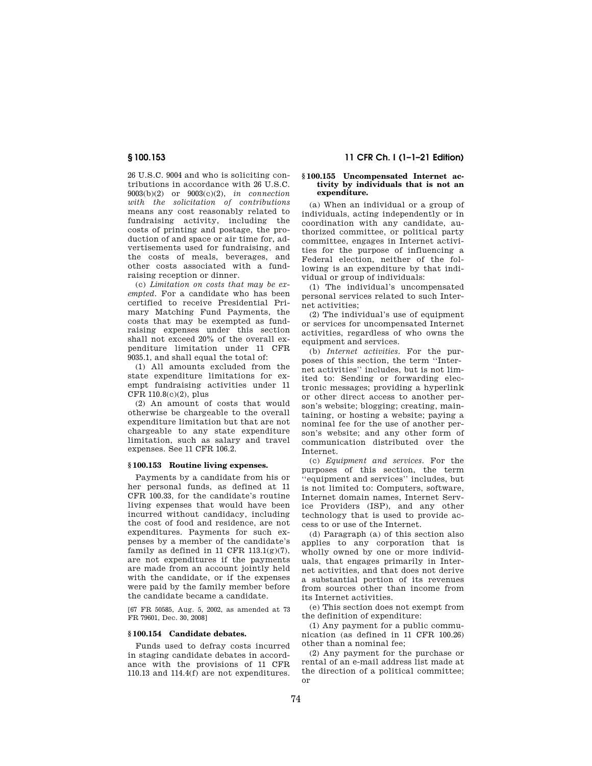26 U.S.C. 9004 and who is soliciting contributions in accordance with 26 U.S.C. 9003(b)(2) or 9003(c)(2), *in connection with the solicitation of contributions*  means any cost reasonably related to fundraising activity, including the costs of printing and postage, the production of and space or air time for, advertisements used for fundraising, and the costs of meals, beverages, and other costs associated with a fundraising reception or dinner.

(c) *Limitation on costs that may be exempted.* For a candidate who has been certified to receive Presidential Primary Matching Fund Payments, the costs that may be exempted as fundraising expenses under this section shall not exceed 20% of the overall expenditure limitation under 11 CFR 9035.1, and shall equal the total of:

(1) All amounts excluded from the state expenditure limitations for exempt fundraising activities under 11 CFR 110.8(c)(2), plus

(2) An amount of costs that would otherwise be chargeable to the overall expenditure limitation but that are not chargeable to any state expenditure limitation, such as salary and travel expenses. See 11 CFR 106.2.

## **§ 100.153 Routine living expenses.**

Payments by a candidate from his or her personal funds, as defined at 11 CFR 100.33, for the candidate's routine living expenses that would have been incurred without candidacy, including the cost of food and residence, are not expenditures. Payments for such expenses by a member of the candidate's family as defined in 11 CFR  $113.1(g)(7)$ , are not expenditures if the payments are made from an account jointly held with the candidate, or if the expenses were paid by the family member before the candidate became a candidate.

[67 FR 50585, Aug. 5, 2002, as amended at 73 FR 79601, Dec. 30, 2008]

## **§ 100.154 Candidate debates.**

Funds used to defray costs incurred in staging candidate debates in accordance with the provisions of 11 CFR 110.13 and 114.4(f) are not expenditures.

# **§ 100.153 11 CFR Ch. I (1–1–21 Edition)**

#### **§ 100.155 Uncompensated Internet activity by individuals that is not an expenditure.**

(a) When an individual or a group of individuals, acting independently or in coordination with any candidate, authorized committee, or political party committee, engages in Internet activities for the purpose of influencing a Federal election, neither of the following is an expenditure by that individual or group of individuals:

(1) The individual's uncompensated personal services related to such Internet activities;

(2) The individual's use of equipment or services for uncompensated Internet activities, regardless of who owns the equipment and services.

(b) *Internet activities.* For the purposes of this section, the term ''Internet activities'' includes, but is not limited to: Sending or forwarding electronic messages; providing a hyperlink or other direct access to another person's website; blogging; creating, maintaining, or hosting a website; paying a nominal fee for the use of another person's website; and any other form of communication distributed over the Internet.

(c) *Equipment and services.* For the purposes of this section, the term 'equipment and services'' includes, but is not limited to: Computers, software, Internet domain names, Internet Service Providers (ISP), and any other technology that is used to provide access to or use of the Internet.

(d) Paragraph (a) of this section also applies to any corporation that is wholly owned by one or more individuals, that engages primarily in Internet activities, and that does not derive a substantial portion of its revenues from sources other than income from its Internet activities.

(e) This section does not exempt from the definition of expenditure:

(1) Any payment for a public communication (as defined in 11 CFR 100.26) other than a nominal fee;

(2) Any payment for the purchase or rental of an e-mail address list made at the direction of a political committee; or